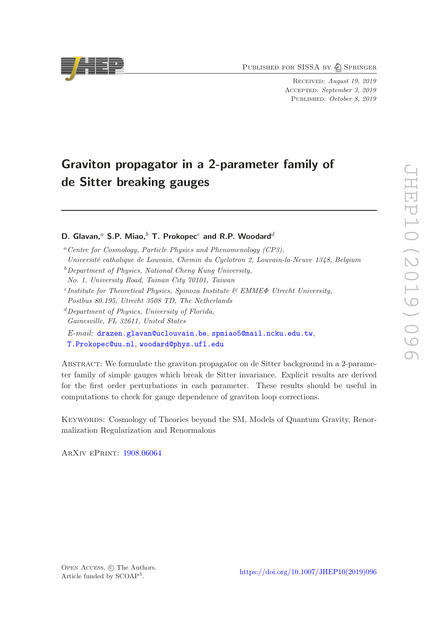PUBLISHED FOR SISSA BY 2 SPRINGER

Received: August 19, 2019 ACCEPTED: September 3, 2019 PUBLISHED: October 8, 2019

# Graviton propagator in a 2-parameter family of de Sitter breaking gauges

# D. Glavan,<sup>a</sup> S.P. Miao,<sup>b</sup> T. Prokopec<sup>c</sup> and R.P. Woodard<sup>d</sup>

 $a$ <sup>a</sup>Centre for Cosmology, Particle Physics and Phenomenology (CP3).

- Universit´e catholique de Louvain, Chemin du Cyclotron 2, Louvain-la-Neuve 1348, Belgium
- $b$  Department of Physics, National Cheng Kung University.
- No. 1, University Road, Tainan City 70101, Taiwan
- <sup>c</sup>Institute for Theoretical Physics, Spinoza Institute & EMME $\Phi$  Utrecht University, Postbus 80.195, Utrecht 3508 TD, The Netherlands
- ${}^d$ Department of Physics, University of Florida, Gainesville, FL 32611, United States

E-mail: [drazen.glavan@uclouvain.be](mailto:drazen.glavan@uclouvain.be), [spmiao5@mail.ncku.edu.tw](mailto:spmiao5@mail.ncku.edu.tw), [T.Prokopec@uu.nl](mailto:T.Prokopec@uu.nl), [woodard@phys.ufl.edu](mailto:woodard@phys.ufl.edu)

Abstract: We formulate the graviton propagator on de Sitter background in a 2-parameter family of simple gauges which break de Sitter invariance. Explicit results are derived for the first order perturbations in each parameter. These results should be useful in computations to check for gauge dependence of graviton loop corrections.

KEYWORDS: Cosmology of Theories beyond the SM, Models of Quantum Gravity, Renormalization Regularization and Renormalons

ArXiv ePrint: [1908.06064](https://arxiv.org/abs/1908.06064)

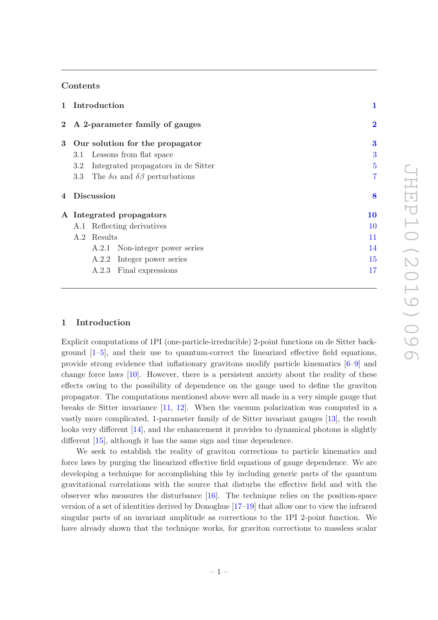## Contents

|   | 1 Introduction                                           | 1              |  |  |
|---|----------------------------------------------------------|----------------|--|--|
|   | 2 A 2-parameter family of gauges                         | $\bf{2}$       |  |  |
| 3 | Our solution for the propagator                          | 3              |  |  |
|   | Lessons from flat space<br>3.1                           | 3              |  |  |
|   | Integrated propagators in de Sitter<br>$3.2^{\circ}$     | $\overline{5}$ |  |  |
|   | 3.3 The $\delta \alpha$ and $\delta \beta$ perturbations | 7              |  |  |
| 4 | <b>Discussion</b>                                        | 8              |  |  |
|   | A Integrated propagators                                 | 10             |  |  |
|   | A.1 Reflecting derivatives                               | 10             |  |  |
|   | A.2 Results                                              | 11             |  |  |
|   | A.2.1 Non-integer power series                           | 14             |  |  |
|   | A.2.2 Integer power series                               | 15             |  |  |
|   | A.2.3 Final expressions                                  | 17             |  |  |

## <span id="page-1-0"></span>1 Introduction

Explicit computations of 1PI (one-particle-irreducible) 2-point functions on de Sitter background [\[1](#page-18-0)[–5](#page-19-0)], and their use to quantum-correct the linearized effective field equations, provide strong evidence that inflationary gravitons modify particle kinematics [\[6](#page-19-1)[–9\]](#page-19-2) and change force laws [\[10](#page-19-3)]. However, there is a persistent anxiety about the reality of these effects owing to the possibility of dependence on the gauge used to define the graviton propagator. The computations mentioned above were all made in a very simple gauge that breaks de Sitter invariance [\[11,](#page-19-4) [12\]](#page-19-5). When the vacuum polarization was computed in a vastly more complicated, 1-parameter family of de Sitter invariant gauges [\[13\]](#page-19-6), the result looks very different [\[14\]](#page-19-7), and the enhancement it provides to dynamical photons is slightly different [\[15](#page-19-8)], although it has the same sign and time dependence.

We seek to establish the reality of graviton corrections to particle kinematics and force laws by purging the linearized effective field equations of gauge dependence. We are developing a technique for accomplishing this by including generic parts of the quantum gravitational correlations with the source that disturbs the effective field and with the observer who measures the disturbance [\[16\]](#page-19-9). The technique relies on the position-space version of a set of identities derived by Donoghue [\[17](#page-19-10)[–19](#page-19-11)] that allow one to view the infrared singular parts of an invariant amplitude as corrections to the 1PI 2-point function. We have already shown that the technique works, for graviton corrections to massless scalar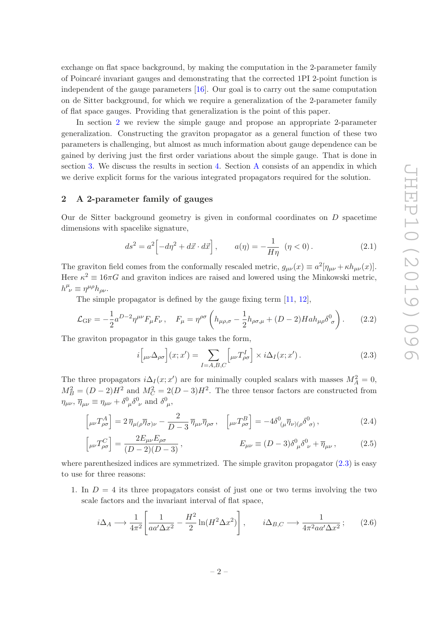exchange on flat space background, by making the computation in the 2-parameter family of Poincar´e invariant gauges and demonstrating that the corrected 1PI 2-point function is independent of the gauge parameters [\[16\]](#page-19-9). Our goal is to carry out the same computation on de Sitter background, for which we require a generalization of the 2-parameter family of flat space gauges. Providing that generalization is the point of this paper.

In section [2](#page-2-0) we review the simple gauge and propose an appropriate 2-parameter generalization. Constructing the graviton propagator as a general function of these two parameters is challenging, but almost as much information about gauge dependence can be gained by deriving just the first order variations about the simple gauge. That is done in section [3.](#page-3-0) We discuss the results in section [4.](#page-8-0) Section [A](#page-10-0) consists of an appendix in which we derive explicit forms for the various integrated propagators required for the solution.

## <span id="page-2-0"></span>2 A 2-parameter family of gauges

Our de Sitter background geometry is given in conformal coordinates on  $D$  spacetime dimensions with spacelike signature,

$$
ds^2 = a^2 \left[ -d\eta^2 + d\vec{x} \cdot d\vec{x} \right], \qquad a(\eta) = -\frac{1}{H\eta} \quad (\eta < 0). \tag{2.1}
$$

The graviton field comes from the conformally rescaled metric,  $g_{\mu\nu}(x) \equiv a^2 [\eta_{\mu\nu} + \kappa h_{\mu\nu}(x)].$ Here  $\kappa^2 \equiv 16\pi G$  and graviton indices are raised and lowered using the Minkowski metric,  $h^{\mu}_{\ \nu} \equiv \eta^{\mu\rho} h_{\rho\nu}$ .

The simple propagator is defined by the gauge fixing term [\[11](#page-19-4), [12\]](#page-19-5),

<span id="page-2-2"></span>
$$
\mathcal{L}_{\rm GF} = -\frac{1}{2} a^{D-2} \eta^{\mu\nu} F_{\mu} F_{\nu} , \quad F_{\mu} = \eta^{\rho\sigma} \left( h_{\mu\rho,\sigma} - \frac{1}{2} h_{\rho\sigma,\mu} + (D-2) H a h_{\mu\rho} \delta^0_{\sigma} \right). \tag{2.2}
$$

The graviton propagator in this gauge takes the form,

<span id="page-2-4"></span><span id="page-2-3"></span><span id="page-2-1"></span>
$$
i\left[\mu\nu\Delta_{\rho\sigma}\right](x;x') = \sum_{I=A,B,C} \left[\mu\nu T_{\rho\sigma}^{I}\right] \times i\Delta_{I}(x;x'). \tag{2.3}
$$

The three propagators  $i\Delta_I(x;x')$  are for minimally coupled scalars with masses  $M_A^2 = 0$ ,  $M_B^2 = (D-2)H^2$  and  $M_C^2 = 2(D-3)H^2$ . The three tensor factors are constructed from  $\eta_{\mu\nu}, \overline{\eta}_{\mu\nu} \equiv \eta_{\mu\nu} + \delta^0_{\mu} \delta^0_{\nu}$  and  $\delta^0_{\mu}$ ,

$$
\left[\mu\nu T^A_{\rho\sigma}\right] = 2\,\overline{\eta}_{\mu(\rho}\overline{\eta}_{\sigma)\nu} - \frac{2}{D-3}\,\overline{\eta}_{\mu\nu}\overline{\eta}_{\rho\sigma} \,, \quad \left[\mu\nu T^B_{\rho\sigma}\right] = -4\delta^0(\mu\overline{\eta}_{\nu)(\rho}\delta^0_{\sigma)} \,, \tag{2.4}
$$

$$
\left[\mu\nu T_{\rho\sigma}^C\right] = \frac{2E_{\mu\nu}E_{\rho\sigma}}{(D-2)(D-3)}, \qquad E_{\mu\nu} \equiv (D-3)\delta^0{}_{\mu}\delta^0{}_{\nu} + \overline{\eta}{}_{\mu\nu}, \qquad (2.5)
$$

where parenthesized indices are symmetrized. The simple graviton propagator  $(2.3)$  is easy to use for three reasons:

1. In  $D = 4$  its three propagators consist of just one or two terms involving the two scale factors and the invariant interval of flat space,

<span id="page-2-5"></span>
$$
i\Delta_A \longrightarrow \frac{1}{4\pi^2} \left[ \frac{1}{aa'\Delta x^2} - \frac{H^2}{2} \ln(H^2 \Delta x^2) \right], \qquad i\Delta_{B,C} \longrightarrow \frac{1}{4\pi^2 aa'\Delta x^2}; \qquad (2.6)
$$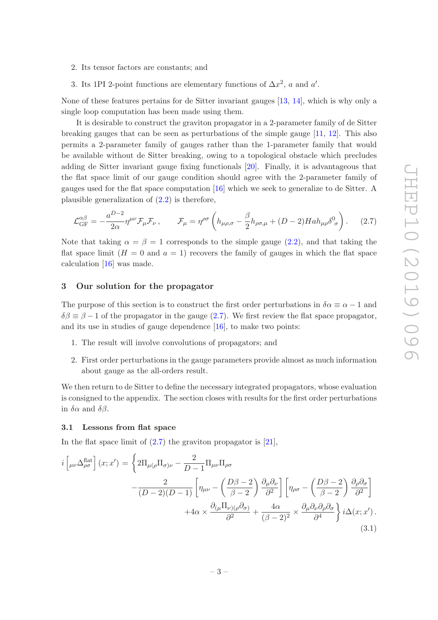- 2. Its tensor factors are constants; and
- 3. Its 1PI 2-point functions are elementary functions of  $\Delta x^2$ , a and a'.

None of these features pertains for de Sitter invariant gauges [\[13,](#page-19-6) [14](#page-19-7)], which is why only a single loop computation has been made using them.

It is desirable to construct the graviton propagator in a 2-parameter family of de Sitter breaking gauges that can be seen as perturbations of the simple gauge [\[11](#page-19-4), [12](#page-19-5)]. This also permits a 2-parameter family of gauges rather than the 1-parameter family that would be available without de Sitter breaking, owing to a topological obstacle which precludes adding de Sitter invariant gauge fixing functionals [\[20](#page-19-12)]. Finally, it is advantageous that the flat space limit of our gauge condition should agree with the 2-parameter family of gauges used for the flat space computation [\[16\]](#page-19-9) which we seek to generalize to de Sitter. A plausible generalization of [\(2.2\)](#page-2-2) is therefore,

<span id="page-3-2"></span>
$$
\mathcal{L}_{GF}^{\alpha\beta} = -\frac{a^{D-2}}{2\alpha}\eta^{\mu\nu}\mathcal{F}_{\mu}\mathcal{F}_{\nu}\,, \qquad \mathcal{F}_{\mu} = \eta^{\rho\sigma}\left(h_{\mu\rho,\sigma} - \frac{\beta}{2}h_{\rho\sigma,\mu} + (D-2)Hah_{\mu\rho}\delta_{\sigma}^{0}\right).\tag{2.7}
$$

Note that taking  $\alpha = \beta = 1$  corresponds to the simple gauge [\(2.2\)](#page-2-2), and that taking the flat space limit  $(H = 0$  and  $a = 1)$  recovers the family of gauges in which the flat space calculation [\[16](#page-19-9)] was made.

# <span id="page-3-0"></span>3 Our solution for the propagator

The purpose of this section is to construct the first order perturbations in  $\delta \alpha \equiv \alpha - 1$  and  $\delta\beta \equiv \beta - 1$  of the propagator in the gauge [\(2.7\)](#page-3-2). We first review the flat space propagator, and its use in studies of gauge dependence [\[16\]](#page-19-9), to make two points:

- 1. The result will involve convolutions of propagators; and
- 2. First order perturbations in the gauge parameters provide almost as much information about gauge as the all-orders result.

We then return to de Sitter to define the necessary integrated propagators, whose evaluation is consigned to the appendix. The section closes with results for the first order perturbations in  $\delta \alpha$  and  $\delta \beta$ .

#### <span id="page-3-1"></span>3.1 Lessons from flat space

In the flat space limit of  $(2.7)$  the graviton propagator is [\[21](#page-19-13)],

<span id="page-3-3"></span>
$$
i\left[\mu\nu\Delta_{\rho\sigma}^{\text{flat}}\right](x;x') = \left\{2\Pi_{\mu(\rho}\Pi_{\sigma)\nu} - \frac{2}{D-1}\Pi_{\mu\nu}\Pi_{\rho\sigma} - \frac{2}{(D-2)(D-1)}\left[\eta_{\mu\nu} - \left(\frac{D\beta - 2}{\beta - 2}\right)\frac{\partial_{\mu}\partial_{\nu}}{\partial^2}\right] \left[\eta_{\rho\sigma} - \left(\frac{D\beta - 2}{\beta - 2}\right)\frac{\partial_{\rho}\partial_{\sigma}}{\partial^2}\right] + 4\alpha \times \frac{\partial_{(\mu}\Pi_{\nu)(\rho}\partial_{\sigma)}}{\partial^2} + \frac{4\alpha}{(\beta - 2)^2} \times \frac{\partial_{\mu}\partial_{\nu}\partial_{\rho}\partial_{\sigma}}{\partial^4}\right\} i\Delta(x;x')
$$
\n(3.1)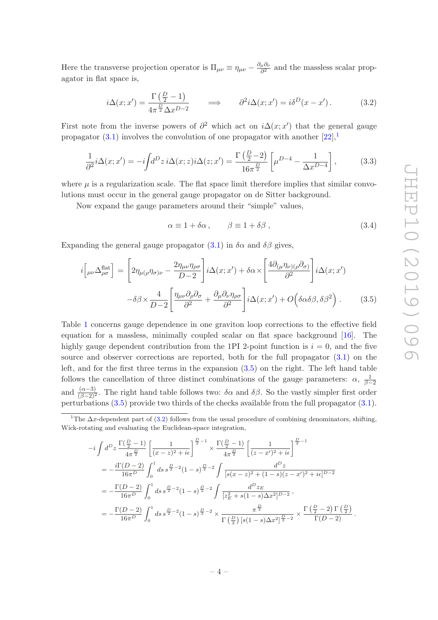Here the transverse projection operator is  $\Pi_{\mu\nu} \equiv \eta_{\mu\nu} - \frac{\partial_{\mu}\partial_{\nu}}{\partial^2}$  $\frac{\mu^{O_{\nu}}}{\partial^{2}}$  and the massless scalar propagator in flat space is,

<span id="page-4-2"></span>
$$
i\Delta(x; x') = \frac{\Gamma\left(\frac{D}{2} - 1\right)}{4\pi^{\frac{D}{2}}\Delta x^{D-2}} \qquad \Longrightarrow \qquad \partial^2 i\Delta(x; x') = i\delta^D(x - x')\,. \tag{3.2}
$$

First note from the inverse powers of  $\partial^2$  which act on  $i\Delta(x; x')$  that the general gauge propagator [\(3.1\)](#page-3-3) involves the convolution of one propagator with another  $[22]$ ,<sup>[1](#page-4-0)</sup>

<span id="page-4-3"></span>
$$
\frac{1}{\partial^2} i \Delta(x; x') = -i \int d^D z \, i \Delta(x; z) i \Delta(z; x') = \frac{\Gamma\left(\frac{D}{2} - 2\right)}{16\pi^{\frac{D}{2}}} \left[ \mu^{D-4} - \frac{1}{\Delta x^{D-4}} \right],\tag{3.3}
$$

where  $\mu$  is a regularization scale. The flat space limit therefore implies that similar convolutions must occur in the general gauge propagator on de Sitter background.

Now expand the gauge parameters around their "simple" values,

$$
\alpha \equiv 1 + \delta \alpha, \qquad \beta \equiv 1 + \delta \beta, \qquad (3.4)
$$

Expanding the general gauge propagator  $(3.1)$  in  $\delta \alpha$  and  $\delta \beta$  gives,

<span id="page-4-1"></span>
$$
i\left[\mu\nu\Delta_{\rho\sigma}^{\text{flat}}\right] = \left[2\eta_{\mu(\rho}\eta_{\sigma)\nu} - \frac{2\eta_{\mu\nu}\eta_{\rho\sigma}}{D-2}\right]i\Delta(x;x') + \delta\alpha \times \left[\frac{4\partial_{(\mu}\eta_{\nu)(\rho}\partial_{\sigma)}}{\partial^2}\right]i\Delta(x;x')
$$

$$
-\delta\beta \times \frac{4}{D-2}\left[\frac{\eta_{\mu\nu}\partial_{\rho}\partial_{\sigma}}{\partial^2} + \frac{\partial_{\mu}\partial_{\nu}\eta_{\rho\sigma}}{\partial^2}\right]i\Delta(x;x') + O\left(\delta\alpha\delta\beta, \delta\beta^2\right). \tag{3.5}
$$

Table [1](#page-5-1) concerns gauge dependence in one graviton loop corrections to the effective field equation for a massless, minimally coupled scalar on flat space background [\[16](#page-19-9)]. The highly gauge dependent contribution from the 1PI 2-point function is  $i = 0$ , and the five source and observer corrections are reported, both for the full propagator [\(3.1\)](#page-3-3) on the left, and for the first three terms in the expansion [\(3.5\)](#page-4-1) on the right. The left hand table follows the cancellation of three distinct combinations of the gauge parameters:  $\alpha$ ,  $\frac{1}{\beta-2}$ and  $\frac{(\alpha-3)}{(\beta-2)^2}$ . The right hand table follows two:  $\delta \alpha$  and  $\delta \beta$ . So the vastly simpler first order perturbations [\(3.5\)](#page-4-1) provide two thirds of the checks available from the full propagator [\(3.1\)](#page-3-3).

$$
-i \int d^{D}z \frac{\Gamma(\frac{D}{2}-1)}{4\pi^{\frac{D}{2}}}\left[\frac{1}{(x-z)^{2}+i\epsilon}\right]^{\frac{D}{2}-1} \times \frac{\Gamma(\frac{D}{2}-1)}{4\pi^{\frac{D}{2}}}\left[\frac{1}{(z-x')^{2}+i\epsilon}\right]^{\frac{D}{2}-1}
$$
  
\n
$$
= -\frac{i\Gamma(D-2)}{16\pi^{D}} \int_{0}^{1} ds \, s^{\frac{D}{2}-2} (1-s)^{\frac{D}{2}-2} \int \frac{d^{D}z}{[s(x-z)^{2}+(1-s)(z-x')^{2}+i\epsilon]^{D-2}}
$$
  
\n
$$
= -\frac{\Gamma(D-2)}{16\pi^{D}} \int_{0}^{1} ds \, s^{\frac{D}{2}-2} (1-s)^{\frac{D}{2}-2} \int \frac{d^{D}z_{E}}{[z_{E}^{2}+s(1-s)\Delta x^{2}]^{D-2}},
$$
  
\n
$$
= -\frac{\Gamma(D-2)}{16\pi^{D}} \int_{0}^{1} ds \, s^{\frac{D}{2}-2} (1-s)^{\frac{D}{2}-2} \times \frac{\pi^{\frac{D}{2}}}{\Gamma(\frac{D}{2})\left[s(1-s)\Delta x^{2}\right]^{\frac{D}{2}-2}} \times \frac{\Gamma(\frac{D}{2}-2)\Gamma(\frac{D}{2})}{\Gamma(D-2)}.
$$

<span id="page-4-0"></span><sup>&</sup>lt;sup>1</sup>The  $\Delta x$ -dependent part of [\(3.2\)](#page-4-2) follows from the usual procedure of combining denominators, shifting, Wick-rotating and evaluating the Euclidean-space integration,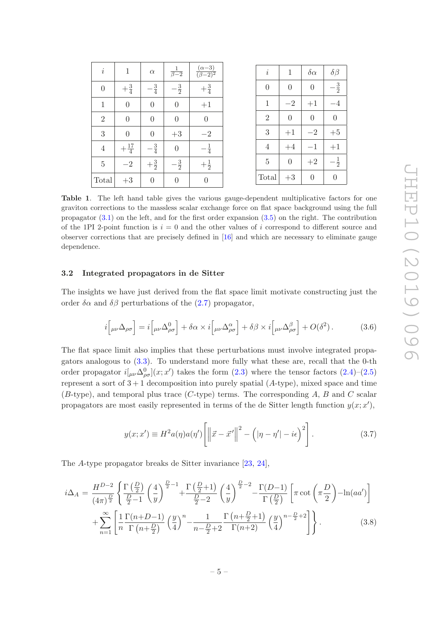| $\it i$        | $\mathbf{1}$    | $\alpha$       | $\frac{1}{\beta-2}$ | $(\alpha - 3)$<br>$\overline{(\beta-2)^2}$ | $\it i$        | 1              | $\delta \alpha$ |
|----------------|-----------------|----------------|---------------------|--------------------------------------------|----------------|----------------|-----------------|
| $\theta$       | $+\frac{3}{4}$  | $\frac{3}{4}$  | $-\frac{3}{2}$      | $+\frac{3}{4}$                             | $\theta$       | $\theta$       | $\theta$        |
| $\mathbf{1}$   | $\overline{0}$  | $\theta$       | $\overline{0}$      | $+1$                                       | $\mathbf{1}$   | $-2$           | $+1$            |
| $\overline{2}$ | $\overline{0}$  | $\overline{0}$ | $\overline{0}$      | $\theta$                                   | $\overline{2}$ | $\overline{0}$ | $\theta$        |
| 3              | $\overline{0}$  | $\theta$       | $+3\,$              | $-2$                                       | 3              | $+1$           | $-2\,$          |
| $\overline{4}$ | $+\frac{17}{4}$ | $-\frac{3}{4}$ | $\overline{0}$      | $-\frac{1}{4}$                             | $\overline{4}$ | $+4$           | $-1$            |
| $\overline{5}$ | $-2\,$          | $+\frac{3}{2}$ | $-\frac{3}{2}$      | $+\frac{1}{2}$                             | $\overline{5}$ | $\overline{0}$ | $+2\,$          |
| Total          | $+3$            | $\theta$       | $\boldsymbol{0}$    | $\boldsymbol{0}$                           | Total          | $+3$           | $\theta$        |

<span id="page-5-1"></span>Table 1. The left hand table gives the various gauge-dependent multiplicative factors for one graviton corrections to the massless scalar exchange force on flat space background using the full propagator [\(3.1\)](#page-3-3) on the left, and for the first order expansion [\(3.5\)](#page-4-1) on the right. The contribution of the 1PI 2-point function is  $i = 0$  and the other values of i correspond to different source and observer corrections that are precisely defined in [\[16\]](#page-19-9) and which are necessary to eliminate gauge dependence.

## <span id="page-5-0"></span>3.2 Integrated propagators in de Sitter

The insights we have just derived from the flat space limit motivate constructing just the order  $\delta \alpha$  and  $\delta \beta$  perturbations of the [\(2.7\)](#page-3-2) propagator,

$$
i\left[\mu\nu\Delta_{\rho\sigma}\right] = i\left[\mu\nu\Delta_{\rho\sigma}^{0}\right] + \delta\alpha \times i\left[\mu\nu\Delta_{\rho\sigma}^{\alpha}\right] + \delta\beta \times i\left[\mu\nu\Delta_{\rho\sigma}^{\beta}\right] + O(\delta^{2}).
$$
 (3.6)

The flat space limit also implies that these perturbations must involve integrated propagators analogous to [\(3.3\)](#page-4-3). To understand more fully what these are, recall that the 0-th order propagator  $i[\mu\nu\Delta^0_{\rho\sigma}](x;x')$  takes the form [\(2.3\)](#page-2-1) where the tensor factors [\(2.4\)](#page-2-3)–[\(2.5\)](#page-2-4) represent a sort of  $3+1$  decomposition into purely spatial  $(A\text{-type})$ , mixed space and time  $(B\text{-type})$ , and temporal plus trace  $(C\text{-type})$  terms. The corresponding A, B and C scalar propagators are most easily represented in terms of the de Sitter length function  $y(x; x')$ ,

<span id="page-5-3"></span>
$$
y(x;x') \equiv H^2 a(\eta) a(\eta') \left[ \left\| \vec{x} - \vec{x}' \right\|^2 - \left( |\eta - \eta'| - i\epsilon \right)^2 \right]. \tag{3.7}
$$

The A-type propagator breaks de Sitter invariance [\[23,](#page-19-15) [24](#page-20-0)],

<span id="page-5-2"></span>
$$
i\Delta_A = \frac{H^{D-2}}{(4\pi)^{\frac{D}{2}}} \left\{ \frac{\Gamma\left(\frac{D}{2}\right)}{\frac{D}{2}-1} \left(\frac{4}{y}\right)^{\frac{D}{2}-1} + \frac{\Gamma\left(\frac{D}{2}+1\right)}{\frac{D}{2}-2} \left(\frac{4}{y}\right)^{\frac{D}{2}-2} - \frac{\Gamma(D-1)}{\Gamma\left(\frac{D}{2}\right)} \left[\pi \cot\left(\pi \frac{D}{2}\right) - \ln(aa')\right] \right\}
$$

$$
+ \sum_{n=1}^{\infty} \left[ \frac{1}{n} \frac{\Gamma(n+D-1)}{\Gamma(n+\frac{D}{2})} \left(\frac{y}{4}\right)^n - \frac{1}{n-\frac{D}{2}+2} \frac{\Gamma\left(n+\frac{D}{2}+1\right)}{\Gamma(n+2)} \left(\frac{y}{4}\right)^{n-\frac{D}{2}+2} \right] \right\}.
$$
(3.8)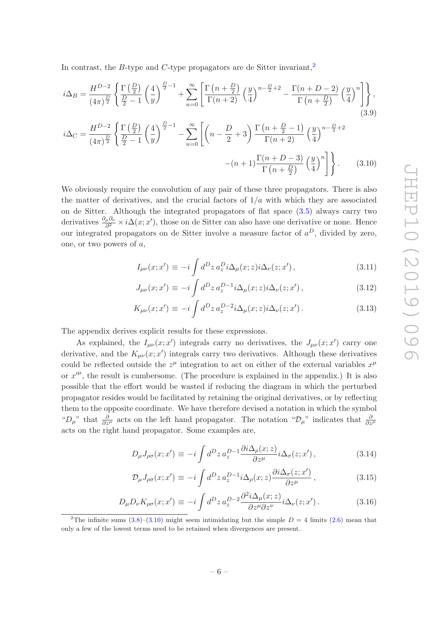In contrast, the B-type and C-type propagators are de Sitter invariant,<sup>[2](#page-6-0)</sup>

$$
i\Delta_B = \frac{H^{D-2}}{(4\pi)^{\frac{D}{2}}} \left\{ \frac{\Gamma\left(\frac{D}{2}\right)}{\frac{D}{2}-1} \left(\frac{4}{y}\right)^{\frac{D}{2}-1} + \sum_{n=0}^{\infty} \left[ \frac{\Gamma\left(n+\frac{D}{2}\right)}{\Gamma(n+2)} \left(\frac{y}{4}\right)^{n-\frac{D}{2}+2} - \frac{\Gamma(n+D-2)}{\Gamma(n+\frac{D}{2})} \left(\frac{y}{4}\right)^n \right] \right\},\tag{3.9}
$$

$$
i\Delta_C = \frac{H^{D-2}}{(4\pi)^{\frac{D}{2}}} \left\{ \frac{\Gamma\left(\frac{D}{2}\right)}{\frac{D}{2}-1} \left(\frac{4}{y}\right)^{\frac{D}{2}-1} - \sum_{n=0}^{\infty} \left[ \left(n - \frac{D}{2} + 3\right) \frac{\Gamma\left(n + \frac{D}{2} - 1\right)}{\Gamma(n + 2)} \left(\frac{y}{4}\right)^{n - \frac{D}{2} + 2} - (n + 1) \frac{\Gamma(n + D - 3)}{\Gamma(n + \frac{D}{2})} \left(\frac{y}{4}\right)^n \right] \right\}.
$$
 (3.10)

We obviously require the convolution of any pair of these three propagators. There is also the matter of derivatives, and the crucial factors of  $1/a$  with which they are associated on de Sitter. Although the integrated propagators of flat space [\(3.5\)](#page-4-1) always carry two derivatives  $\frac{\partial_\mu \partial_\nu}{\partial^2} \times i\Delta(x; x')$ , those on de Sitter can also have one derivative or none. Hence our integrated propagators on de Sitter involve a measure factor of  $a^D$ , divided by zero, one, or two powers of a,

<span id="page-6-2"></span><span id="page-6-1"></span>
$$
I_{\mu\nu}(x;x') \equiv -i \int d^D z \, a_z^D i \Delta_\mu(x;z) i \Delta_\nu(z;x'), \qquad (3.11)
$$

$$
J_{\mu\nu}(x;x') \equiv -i \int d^D z \, a_z^{D-1} i \Delta_\mu(x;z) i \Delta_\nu(z;x') , \qquad (3.12)
$$

$$
K_{\mu\nu}(x;x') \equiv -i \int d^D z \, a_z^{D-2} i \Delta_\mu(x;z) i \Delta_\nu(z;x') \,. \tag{3.13}
$$

The appendix derives explicit results for these expressions.

As explained, the  $I_{\mu\nu}(x;x')$  integrals carry no derivatives, the  $J_{\mu\nu}(x;x')$  carry one derivative, and the  $K_{\mu\nu}(x; x')$  integrals carry two derivatives. Although these derivatives could be reflected outside the  $z^{\mu}$  integration to act on either of the external variables  $x^{\mu}$ or  $x^{\prime\mu}$ , the result is cumbersome. (The procedure is explained in the appendix.) It is also possible that the effort would be wasted if reducing the diagram in which the perturbed propagator resides would be facilitated by retaining the original derivatives, or by reflecting them to the opposite coordinate. We have therefore devised a notation in which the symbol " $D_\mu$ " that  $\frac{\partial}{\partial z^\mu}$  acts on the left hand propagator. The notation " $\mathcal{D}_\mu$ " indicates that  $\frac{\partial}{\partial z^\mu}$ acts on the right hand propagator. Some examples are,

<span id="page-6-3"></span>
$$
D_{\mu}J_{\rho\sigma}(x;x') \equiv -i \int d^D z \, a_z^{D-1} \frac{\partial i \Delta_{\rho}(x;z)}{\partial z^{\mu}} i \Delta_{\sigma}(z;x'), \qquad (3.14)
$$

$$
\mathcal{D}_{\mu}J_{\rho\sigma}(x;x') \equiv -i \int d^D z \, a_z^{D-1} i \Delta_{\rho}(x;z) \frac{\partial i \Delta_{\sigma}(z;x')}{\partial z^{\mu}} , \qquad (3.15)
$$

$$
D_{\mu}D_{\nu}K_{\rho\sigma}(x;x') \equiv -i \int d^D z \, a_z^{D-2} \frac{\partial^2 i \Delta_{\mu}(x;z)}{\partial z^{\mu} \partial z^{\nu}} i \Delta_{\nu}(z;x'). \tag{3.16}
$$

<span id="page-6-0"></span><sup>&</sup>lt;sup>2</sup>The infinite sums [\(3.8\)](#page-5-2)–[\(3.10\)](#page-6-1) might seem intimidating but the simple  $D = 4$  limits [\(2.6\)](#page-2-5) mean that only a few of the lowest terms need to be retained when divergences are present.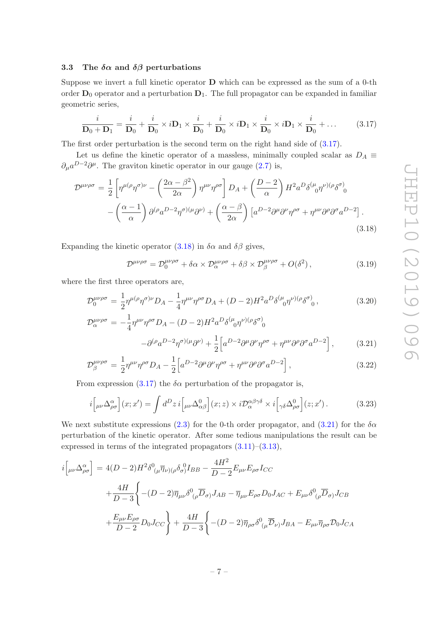## <span id="page-7-0"></span>3.3 The  $\delta \alpha$  and  $\delta \beta$  perturbations

Suppose we invert a full kinetic operator  $\bf{D}$  which can be expressed as the sum of a 0-th order  $D_0$  operator and a perturbation  $D_1$ . The full propagator can be expanded in familiar geometric series,

<span id="page-7-1"></span>
$$
\frac{i}{\mathbf{D}_0 + \mathbf{D}_1} = \frac{i}{\mathbf{D}_0} + \frac{i}{\mathbf{D}_0} \times i\mathbf{D}_1 \times \frac{i}{\mathbf{D}_0} + \frac{i}{\mathbf{D}_0} \times i\mathbf{D}_1 \times \frac{i}{\mathbf{D}_0} \times i\mathbf{D}_1 \times \frac{i}{\mathbf{D}_0} + \dots
$$
 (3.17)

The first order perturbation is the second term on the right hand side of [\(3.17\)](#page-7-1).

Let us define the kinetic operator of a massless, minimally coupled scalar as  $D_A \equiv$  $\partial_{\mu}a^{D-2}\partial^{\mu}$ . The graviton kinetic operator in our gauge [\(2.7\)](#page-3-2) is,

<span id="page-7-2"></span>
$$
\mathcal{D}^{\mu\nu\rho\sigma} = \frac{1}{2} \left[ \eta^{\mu(\rho} \eta^{\sigma)\nu} - \left( \frac{2\alpha - \beta^2}{2\alpha} \right) \eta^{\mu\nu} \eta^{\rho\sigma} \right] D_A + \left( \frac{D - 2}{\alpha} \right) H^2 a^D \delta^{(\mu}{}_{0} \eta^{\nu)(\rho} \delta^{\sigma)}_{0} - \left( \frac{\alpha - 1}{\alpha} \right) \partial^{(\rho} a^{D - 2} \eta^{\sigma)(\mu} \partial^{\nu)} + \left( \frac{\alpha - \beta}{2\alpha} \right) \left[ a^{D - 2} \partial^{\mu} \partial^{\nu} \eta^{\rho\sigma} + \eta^{\mu\nu} \partial^{\rho} \partial^{\sigma} a^{D - 2} \right].
$$
\n(3.18)

Expanding the kinetic operator [\(3.18\)](#page-7-2) in  $\delta \alpha$  and  $\delta \beta$  gives,

$$
\mathcal{D}^{\mu\nu\rho\sigma} = \mathcal{D}_0^{\mu\nu\rho\sigma} + \delta\alpha \times \mathcal{D}_\alpha^{\mu\nu\rho\sigma} + \delta\beta \times \mathcal{D}_\beta^{\mu\nu\rho\sigma} + O(\delta^2) \,, \tag{3.19}
$$

where the first three operators are,

<span id="page-7-3"></span>
$$
\mathcal{D}_0^{\mu\nu\rho\sigma} = \frac{1}{2} \eta^{\mu(\rho} \eta^{\sigma)\nu} D_A - \frac{1}{4} \eta^{\mu\nu} \eta^{\rho\sigma} D_A + (D - 2) H^2 a^D \delta^{(\mu}{}_{0} \eta^{\nu)(\rho} \delta^{\sigma)}_{0}, \tag{3.20}
$$

$$
\mathcal{D}_{\alpha}^{\mu\nu\rho\sigma} = -\frac{1}{4} \eta^{\mu\nu} \eta^{\rho\sigma} D_A - (D - 2) H^2 a^D \delta^{(\mu}{}_{0} \eta^{\nu)} (\rho \delta^{\sigma})
$$

$$
- \partial^{(\rho} a^{D - 2} \eta^{\sigma)} (\mu \partial^{\nu}) + \frac{1}{2} \Big[ a^{D - 2} \partial^{\mu} \partial^{\nu} \eta^{\rho\sigma} + \eta^{\mu\nu} \partial^{\rho} \partial^{\sigma} a^{D - 2} \Big], \tag{3.21}
$$

$$
\mathcal{D}_{\beta}^{\mu\nu\rho\sigma} = \frac{1}{2} \eta^{\mu\nu} \eta^{\rho\sigma} D_A - \frac{1}{2} \Big[ a^{D-2} \partial^{\mu} \partial^{\nu} \eta^{\rho\sigma} + \eta^{\mu\nu} \partial^{\rho} \partial^{\sigma} a^{D-2} \Big], \tag{3.22}
$$

From expression [\(3.17\)](#page-7-1) the  $\delta \alpha$  perturbation of the propagator is,

<span id="page-7-4"></span>
$$
i\left[\mu\nu\Delta^{\alpha}_{\rho\sigma}\right](x;x') = \int d^D z \, i\left[\mu\nu\Delta^0_{\alpha\beta}\right](x;z) \times i\mathcal{D}^{\alpha\beta\gamma\delta}_{\alpha} \times i\left[\gamma\delta\Delta^0_{\rho\sigma}\right](z;x')\,. \tag{3.23}
$$

We next substitute expressions [\(2.3\)](#page-2-1) for the 0-th order propagator, and [\(3.21\)](#page-7-3) for the  $\delta \alpha$ perturbation of the kinetic operator. After some tedious manipulations the result can be expressed in terms of the integrated propagators [\(3.11\)](#page-6-2)–[\(3.13\)](#page-6-2),

<span id="page-7-5"></span>
$$
i\left[\mu\nu\Delta_{\rho\sigma}^{\alpha}\right] = 4(D-2)H^2\delta^0(\mu\overline{\eta}_{\nu)(\rho}\delta_{\sigma})I_{BB} - \frac{4H^2}{D-2}E_{\mu\nu}E_{\rho\sigma}I_{CC}
$$
  
+ 
$$
\frac{4H}{D-3}\left\{- (D-2)\overline{\eta}_{\mu\nu}\delta^0(\rho\overline{D}_{\sigma})J_{AB} - \overline{\eta}_{\mu\nu}E_{\rho\sigma}D_0J_{AC} + E_{\mu\nu}\delta^0(\rho\overline{D}_{\sigma})J_{CB}
$$
  
+ 
$$
\frac{E_{\mu\nu}E_{\rho\sigma}}{D-2}D_0J_{CC}\right\} + \frac{4H}{D-3}\left\{- (D-2)\overline{\eta}_{\rho\sigma}\delta^0(\mu\overline{D}_{\nu)}J_{BA} - E_{\mu\nu}\overline{\eta}_{\rho\sigma}D_0J_{CA}\right\}
$$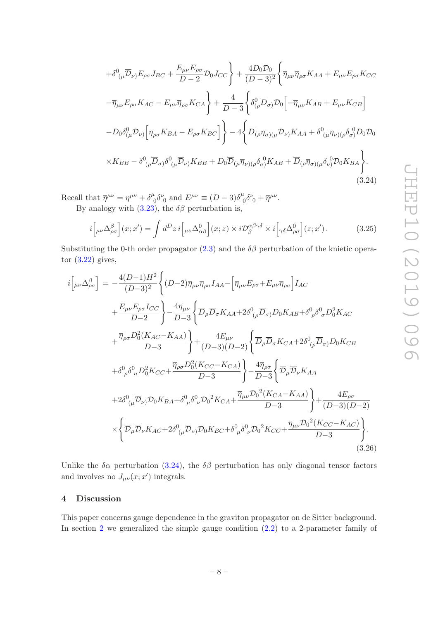$$
+ \delta^{0}{}_{(\mu}\overline{\mathcal{D}}_{\nu)}E_{\rho\sigma}J_{BC} + \frac{E_{\mu\nu}E_{\rho\sigma}}{D-2}\mathcal{D}_{0}J_{CC}\right\} + \frac{4D_{0}\mathcal{D}_{0}}{(D-3)^{2}}\left\{\overline{\eta}_{\mu\nu}\overline{\eta}_{\rho\sigma}K_{AA} + E_{\mu\nu}E_{\rho\sigma}K_{CC}\right.
$$

$$
- \overline{\eta}_{\mu\nu}E_{\rho\sigma}K_{AC} - E_{\mu\nu}\overline{\eta}_{\rho\sigma}K_{CA}\right\} + \frac{4}{D-3}\left\{\delta^{0}_{(\rho}\overline{D}_{\sigma)}\mathcal{D}_{0}\left[-\overline{\eta}_{\mu\nu}K_{AB} + E_{\mu\nu}K_{CB}\right]
$$

$$
- D_{0}\delta^{0}_{(\mu}\overline{\mathcal{D}}_{\nu)}\left[\overline{\eta}_{\rho\sigma}K_{BA} - E_{\rho\sigma}K_{BC}\right]\right\} - 4\left\{\overline{D}_{(\rho}\overline{\eta}_{\sigma)(\mu}\overline{\mathcal{D}}_{\nu)}K_{AA} + \delta^{0}_{(\mu}\overline{\eta}_{\nu)(\rho}\delta^{0}_{\sigma)}D_{0}D_{0}
$$

$$
\times K_{BB} - \delta^{0}_{(\rho}\overline{D}_{\sigma)}\delta^{0}_{(\mu}\overline{\mathcal{D}}_{\nu)}K_{BB} + D_{0}\overline{\mathcal{D}}_{(\mu}\overline{\eta}_{\nu)(\rho}\delta^{0}_{\sigma)}K_{AB} + \overline{D}_{(\rho}\overline{\eta}_{\sigma)(\mu}\delta^{0}_{\nu)}\mathcal{D}_{0}K_{BA}\right\}.
$$
(3.24)

Recall that  $\overline{\eta}^{\mu\nu} = \eta^{\mu\nu} + \delta^{\mu}_{\ \alpha}$  ${}^{\iota}_{0}\delta^{\nu}_{0}$  and  $E^{\mu\nu} \equiv (D-3)\delta^{\mu}_{0}$  $^{\iota}_{0}\delta^{\nu}_{0}+\overline{\eta}^{\mu\nu}.$ By analogy with  $(3.23)$ , the  $\delta\beta$  perturbation is,

$$
i\Big[\mu\nu\Delta^{\beta}_{\rho\sigma}\Big](x;x') = \int d^D z \, i\Big[\mu\nu\Delta^0_{\alpha\beta}\Big](x;z) \times i\mathcal{D}^{\alpha\beta\gamma\delta}_{\beta} \times i\Big[\gamma\delta\Delta^0_{\rho\sigma}\Big](z;x')\,. \tag{3.25}
$$

Substituting the 0-th order propagator  $(2.3)$  and the  $\delta\beta$  perturbation of the knietic operator  $(3.22)$  gives,

<span id="page-8-1"></span>
$$
i\left[\mu\nu\Delta_{\rho\sigma}^{\beta}\right] = -\frac{4(D-1)H^{2}}{(D-3)^{2}}\left\{(D-2)\overline{\eta}_{\mu\nu}\overline{\eta}_{\rho\sigma}I_{AA} - \left[\overline{\eta}_{\mu\nu}E_{\rho\sigma} + E_{\mu\nu}\overline{\eta}_{\rho\sigma}\right]I_{AC} \right.\n+ \frac{E_{\mu\nu}E_{\rho\sigma}I_{CC}}{D-2}\right\} - \frac{4\overline{\eta}_{\mu\nu}}{D-3}\left\{\overline{D}_{\rho}\overline{D}_{\sigma}K_{AA} + 2\delta_{(\rho}\overline{D}_{\sigma)}D_{0}K_{AB} + \delta_{\rho}^{0}\delta_{\sigma}^{0}\overline{D}_{0}^{2}K_{AC} \right.\n+ \frac{\overline{\eta}_{\rho\sigma}D_{0}^{2}(K_{AC}-K_{AA})}{D-3}\right\} + \frac{4E_{\mu\nu}}{(D-3)(D-2)}\left\{\overline{D}_{\rho}\overline{D}_{\sigma}K_{CA} + 2\delta_{(\rho}\overline{D}_{\sigma)}D_{0}K_{CB} \right.\n+ \delta_{\rho}^{0}\delta_{\sigma}^{0}\overline{D}_{0}^{2}K_{CC} + \frac{\overline{\eta}_{\rho\sigma}D_{0}^{2}(K_{CC}-K_{CA})}{D-3}\right\} - \frac{4\overline{\eta}_{\rho\sigma}}{D-3}\left\{\overline{\mathcal{D}}_{\mu}\overline{\mathcal{D}}_{\nu}K_{AA} \right.\n+ 2\delta_{(\mu}\overline{\mathcal{D}}_{\nu)}\mathcal{D}_{0}K_{BA} + \delta_{(\mu}^{0}\delta_{\nu}^{0}\mathcal{D}_{0}^{2}K_{CA} + \frac{\overline{\eta}_{\mu\nu}D_{0}^{2}(K_{CA}-K_{AA})}{D-3}\right\} + \frac{4E_{\rho\sigma}}{(D-3)(D-2)}\times\left\{\overline{\mathcal{D}}_{\mu}\overline{\mathcal{D}}_{\nu}K_{AC} + 2\delta_{(\mu}^{0}\overline{\mathcal{D}}_{\nu)}\mathcal{D}_{0}K_{BC} + \delta_{(\mu}^{0}\delta_{\nu}^{0}\mathcal{D}_{0}^{2}K_{CC} + \frac{\overline{\eta}_{\mu\nu}D_{0}^{2}(K_{CC}-K_{AC})}{D-3}\right\}.
$$

Unlike the  $\delta \alpha$  perturbation [\(3.24\)](#page-7-5), the  $\delta \beta$  perturbation has only diagonal tensor factors and involves no  $J_{\mu\nu}(x;x')$  integrals.

# <span id="page-8-0"></span>4 Discussion

This paper concerns gauge dependence in the graviton propagator on de Sitter background. In section  $2$  we generalized the simple gauge condition  $(2.2)$  to a 2-parameter family of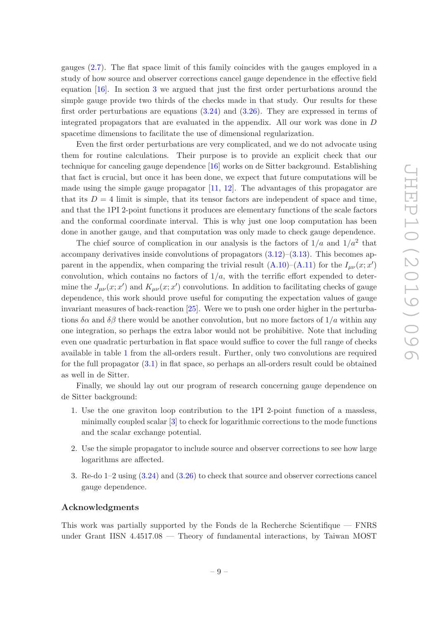gauges [\(2.7\)](#page-3-2). The flat space limit of this family coincides with the gauges employed in a study of how source and observer corrections cancel gauge dependence in the effective field equation [\[16\]](#page-19-9). In section [3](#page-3-0) we argued that just the first order perturbations around the simple gauge provide two thirds of the checks made in that study. Our results for these first order perturbations are equations [\(3.24\)](#page-7-5) and [\(3.26\)](#page-8-1). They are expressed in terms of integrated propagators that are evaluated in the appendix. All our work was done in D spacetime dimensions to facilitate the use of dimensional regularization.

Even the first order perturbations are very complicated, and we do not advocate using them for routine calculations. Their purpose is to provide an explicit check that our technique for canceling gauge dependence [\[16](#page-19-9)] works on de Sitter background. Establishing that fact is crucial, but once it has been done, we expect that future computations will be made using the simple gauge propagator  $[11, 12]$  $[11, 12]$  $[11, 12]$ . The advantages of this propagator are that its  $D = 4$  limit is simple, that its tensor factors are independent of space and time, and that the 1PI 2-point functions it produces are elementary functions of the scale factors and the conformal coordinate interval. This is why just one loop computation has been done in another gauge, and that computation was only made to check gauge dependence.

The chief source of complication in our analysis is the factors of  $1/a$  and  $1/a<sup>2</sup>$  that accompany derivatives inside convolutions of propagators  $(3.12)$ – $(3.13)$ . This becomes apparent in the appendix, when comparing the trivial result  $(A.10)$ – $(A.11)$  for the  $I_{\mu\nu}(x;x')$ convolution, which contains no factors of  $1/a$ , with the terrific effort expended to determine the  $J_{\mu\nu}(x; x')$  and  $K_{\mu\nu}(x; x')$  convolutions. In addition to facilitating checks of gauge dependence, this work should prove useful for computing the expectation values of gauge invariant measures of back-reaction [\[25](#page-20-1)]. Were we to push one order higher in the perturbations  $\delta \alpha$  and  $\delta \beta$  there would be another convolution, but no more factors of  $1/a$  within any one integration, so perhaps the extra labor would not be prohibitive. Note that including even one quadratic perturbation in flat space would suffice to cover the full range of checks available in table [1](#page-5-1) from the all-orders result. Further, only two convolutions are required for the full propagator  $(3.1)$  in flat space, so perhaps an all-orders result could be obtained as well in de Sitter.

Finally, we should lay out our program of research concerning gauge dependence on de Sitter background:

- 1. Use the one graviton loop contribution to the 1PI 2-point function of a massless, minimally coupled scalar [\[3\]](#page-18-1) to check for logarithmic corrections to the mode functions and the scalar exchange potential.
- 2. Use the simple propagator to include source and observer corrections to see how large logarithms are affected.
- 3. Re-do 1–2 using [\(3.24\)](#page-7-5) and [\(3.26\)](#page-8-1) to check that source and observer corrections cancel gauge dependence.

## Acknowledgments

This work was partially supported by the Fonds de la Recherche Scientifique — FNRS under Grant IISN 4.4517.08 — Theory of fundamental interactions, by Taiwan MOST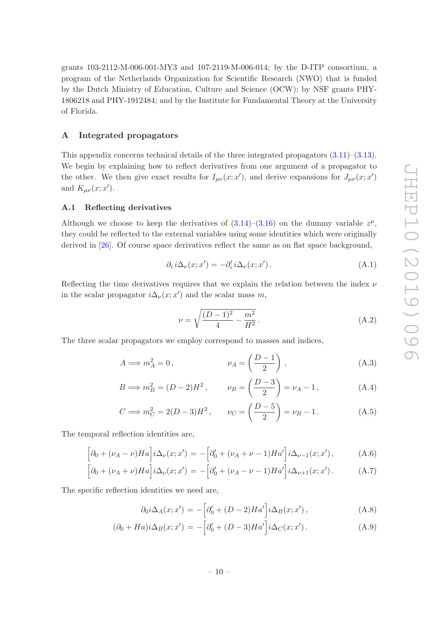grants 103-2112-M-006-001-MY3 and 107-2119-M-006-014; by the D-ITP consortium, a program of the Netherlands Organization for Scientific Research (NWO) that is funded by the Dutch Ministry of Education, Culture and Science (OCW); by NSF grants PHY-1806218 and PHY-1912484; and by the Institute for Fundamental Theory at the University of Florida.

# <span id="page-10-0"></span>A Integrated propagators

This appendix concerns technical details of the three integrated propagators [\(3.11\)](#page-6-2)–[\(3.13\)](#page-6-2). We begin by explaining how to reflect derivatives from one argument of a propagator to the other. We then give exact results for  $I_{\mu\nu}(x;x')$ , and derive expansions for  $J_{\mu\nu}(x;x')$ and  $K_{\mu\nu}(x;x')$ .

#### <span id="page-10-1"></span>A.1 Reflecting derivatives

Although we choose to keep the derivatives of  $(3.14)$ – $(3.16)$  on the dummy variable  $z^{\mu}$ , they could be reflected to the external variables using some identities which were originally derived in [\[26](#page-20-2)]. Of course space derivatives reflect the same as on flat space background,

$$
\partial_i i \Delta_\nu(x; x') = -\partial_i' i \Delta_\nu(x; x') \,. \tag{A.1}
$$

Reflecting the time derivatives requires that we explain the relation between the index  $\nu$ in the scalar propagator  $i\Delta_{\nu}(x; x')$  and the scalar mass m,

<span id="page-10-4"></span><span id="page-10-3"></span>
$$
\nu = \sqrt{\frac{(D-1)^2}{4} - \frac{m^2}{H^2}}.
$$
\n(A.2)

The three scalar propagators we employ correspond to masses and indices,

$$
A \Longrightarrow m_A^2 = 0, \qquad \qquad \nu_A = \left(\frac{D-1}{2}\right), \qquad (A.3)
$$

$$
B \implies m_B^2 = (D - 2)H^2
$$
,  $\nu_B = \left(\frac{D - 3}{2}\right) = \nu_A - 1$ , (A.4)

$$
C \implies m_C^2 = 2(D-3)H^2, \qquad \nu_C = \left(\frac{D-5}{2}\right) = \nu_B - 1. \tag{A.5}
$$

The temporal reflection identities are,

$$
\[ \partial_0 + (\nu_A - \nu)Ha \] i\Delta_\nu(x; x') = -\Big[\partial_0' + (\nu_A + \nu - 1)Ha'\Big] i\Delta_{\nu-1}(x; x')\,,\tag{A.6}
$$

$$
\left[\partial_0 + (\nu_A + \nu)Ha\right]i\Delta_\nu(x; x') = -\left[\partial_0' + (\nu_A - \nu - 1)Ha'\right]i\Delta_{\nu+1}(x; x'). \tag{A.7}
$$

The specific reflection identities we need are,

<span id="page-10-2"></span>
$$
\partial_0 i \Delta_A(x; x') = -\left[\partial_0' + (D-2)Ha'\right] i \Delta_B(x; x'),\tag{A.8}
$$

$$
(\partial_0 + Ha)i\Delta_B(x; x') = -\left[\partial_0' + (D-3)Ha'\right]i\Delta_C(x; x'). \tag{A.9}
$$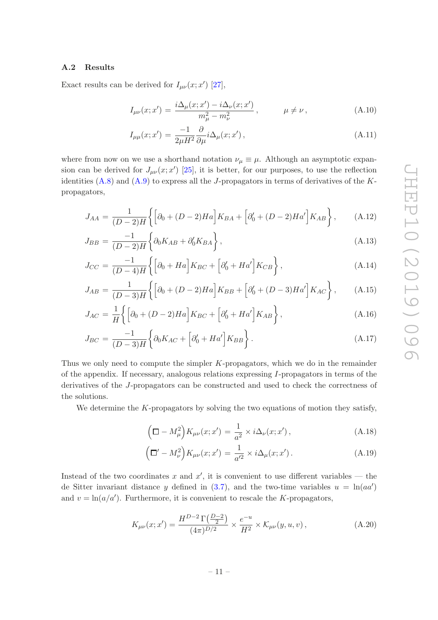## <span id="page-11-0"></span>A.2 Results

Exact results can be derived for  $I_{\mu\nu}(x;x')$  [\[27](#page-20-3)],

<span id="page-11-1"></span>
$$
I_{\mu\nu}(x; x') = \frac{i\Delta_{\mu}(x; x') - i\Delta_{\nu}(x; x')}{m_{\mu}^2 - m_{\nu}^2}, \qquad \mu \neq \nu,
$$
 (A.10)

$$
I_{\mu\mu}(x;x') = \frac{-1}{2\mu H^2} \frac{\partial}{\partial \mu} i \Delta_{\mu}(x;x'),\tag{A.11}
$$

where from now on we use a shorthand notation  $\nu_{\mu} \equiv \mu$ . Although an asymptotic expansion can be derived for  $J_{\mu\nu}(x; x')$  [\[25\]](#page-20-1), it is better, for our purposes, to use the reflection identities  $(A.8)$  and  $(A.9)$  to express all the J-propagators in terms of derivatives of the Kpropagators,

<span id="page-11-3"></span>
$$
J_{AA} = \frac{1}{(D-2)H} \left\{ \left[ \partial_0 + (D-2)Ha \right] K_{BA} + \left[ \partial_0' + (D-2)Ha' \right] K_{AB} \right\}, \tag{A.12}
$$

$$
J_{BB} = \frac{-1}{(D-2)H} \left\{ \partial_0 K_{AB} + \partial_0' K_{BA} \right\},\tag{A.13}
$$

$$
J_{CC} = \frac{-1}{(D-4)H} \left\{ \left[ \partial_0 + Ha \right] K_{BC} + \left[ \partial_0' + Ha' \right] K_{CB} \right\},\tag{A.14}
$$

$$
J_{AB} = \frac{1}{(D-3)H} \left\{ \left[ \partial_0 + (D-2)Ha \right] K_{BB} + \left[ \partial_0' + (D-3)Ha' \right] K_{AC} \right\}, \quad (A.15)
$$

$$
J_{AC} = \frac{1}{H} \left\{ \left[ \partial_0 + (D - 2)Ha \right] K_{BC} + \left[ \partial'_0 + Ha' \right] K_{AB} \right\},\tag{A.16}
$$

$$
J_{BC} = \frac{-1}{(D-3)H} \left\{ \partial_0 K_{AC} + \left[ \partial_0' + Ha' \right] K_{BB} \right\}.
$$
\n(A.17)

Thus we only need to compute the simpler  $K$ -propagators, which we do in the remainder of the appendix. If necessary, analogous relations expressing  $I$ -propagators in terms of the derivatives of the J-propagators can be constructed and used to check the correctness of the solutions.

We determine the  $K$ -propagators by solving the two equations of motion they satisfy,

<span id="page-11-2"></span>
$$
\left(\mathbf{\Box}-M_{\mu}^{2}\right)K_{\mu\nu}(x;x')=\frac{1}{a^{2}}\times i\Delta_{\nu}(x;x'),\tag{A.18}
$$

$$
\left(\Box' - M_{\nu}^2\right) K_{\mu\nu}(x; x') = \frac{1}{a'^2} \times i\Delta_{\mu}(x; x'). \tag{A.19}
$$

Instead of the two coordinates x and  $x'$ , it is convenient to use different variables — the de Sitter invariant distance y defined in  $(3.7)$ , and the two-time variables  $u = \ln(aa')$ and  $v = \ln(a/a')$ . Furthermore, it is convenient to rescale the K-propagators,

$$
K_{\mu\nu}(x;x') = \frac{H^{D-2}\Gamma(\frac{D-2}{2})}{(4\pi)^{D/2}} \times \frac{e^{-u}}{H^2} \times \mathcal{K}_{\mu\nu}(y,u,v) ,
$$
 (A.20)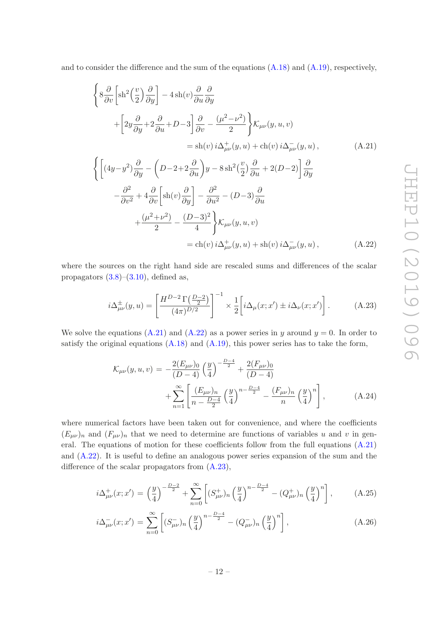and to consider the difference and the sum of the equations [\(A.18\)](#page-11-2) and [\(A.19\)](#page-11-2), respectively,

<span id="page-12-0"></span>
$$
\begin{aligned}\n\left\{ 8 \frac{\partial}{\partial v} \left[ sh^2 \left( \frac{v}{2} \right) \frac{\partial}{\partial y} \right] - 4 sh(v) \frac{\partial}{\partial u} \frac{\partial}{\partial y} \right. \\
&\left. + \left[ 2y \frac{\partial}{\partial y} + 2 \frac{\partial}{\partial u} + D - 3 \right] \frac{\partial}{\partial v} - \frac{(\mu^2 - \nu^2)}{2} \right\} \mathcal{K}_{\mu\nu}(y, u, v) \\
&= sh(v) i \Delta_{\mu\nu}^+(y, u) + ch(v) i \Delta_{\mu\nu}^-(y, u), \\
\int \left[ (4y - y^2) \frac{\partial}{\partial u} - \left( D - 2 + 2 \frac{\partial}{\partial u} \right) u - 8 sh^2 \left( \frac{v}{2} \right) \frac{\partial}{\partial u} + 2(D - 2) \right] \frac{\partial}{\partial u}\n\end{aligned} \tag{A.21}
$$

$$
\left\{ \left[ (4y - y^2) \frac{\partial}{\partial y} - \left( D - 2 + 2 \frac{\partial}{\partial u} \right) y - 8 \sin^2 \left( \frac{v}{2} \right) \frac{\partial}{\partial u} + 2(D - 2) \right] \frac{\partial}{\partial y} \right\}
$$
  

$$
- \frac{\partial^2}{\partial v^2} + 4 \frac{\partial}{\partial v} \left[ \sin(v) \frac{\partial}{\partial y} \right] - \frac{\partial^2}{\partial u^2} - (D - 3) \frac{\partial}{\partial u}
$$
  

$$
+ \frac{(\mu^2 + \nu^2)}{2} - \frac{(D - 3)^2}{4} \right\} \mathcal{K}_{\mu\nu}(y, u, v)
$$
  

$$
= ch(v) i \Delta_{\mu\nu}^+(y, u) + sh(v) i \Delta_{\mu\nu}^-(y, u), \tag{A.22}
$$

where the sources on the right hand side are rescaled sums and differences of the scalar propagators  $(3.8)$ – $(3.10)$ , defined as,

<span id="page-12-1"></span>
$$
i\Delta^{\pm}_{\mu\nu}(y,u) = \left[\frac{H^{D-2}\Gamma(\frac{D-2}{2})}{(4\pi)^{D/2}}\right]^{-1} \times \frac{1}{2}\left[i\Delta_{\mu}(x;x') \pm i\Delta_{\nu}(x;x')\right].\tag{A.23}
$$

We solve the equations [\(A.21\)](#page-12-0) and [\(A.22\)](#page-12-0) as a power series in y around  $y = 0$ . In order to satisfy the original equations  $(A.18)$  and  $(A.19)$ , this power series has to take the form,

<span id="page-12-2"></span>
$$
\mathcal{K}_{\mu\nu}(y, u, v) = -\frac{2(E_{\mu\nu})_0}{(D-4)} \left(\frac{y}{4}\right)^{-\frac{D-4}{2}} + \frac{2(F_{\mu\nu})_0}{(D-4)} + \sum_{n=1}^{\infty} \left[ \frac{(E_{\mu\nu})_n}{n - \frac{D-4}{2}} \left(\frac{y}{4}\right)^{n - \frac{D-4}{2}} - \frac{(F_{\mu\nu})_n}{n} \left(\frac{y}{4}\right)^n \right],
$$
\n(A.24)

where numerical factors have been taken out for convenience, and where the coefficients  $(E_{\mu\nu})_n$  and  $(F_{\mu\nu})_n$  that we need to determine are functions of variables u and v in general. The equations of motion for these coefficients follow from the full equations [\(A.21\)](#page-12-0) and [\(A.22\)](#page-12-0). It is useful to define an analogous power series expansion of the sum and the difference of the scalar propagators from  $(A.23)$ ,

$$
i\Delta_{\mu\nu}^+(x;x') = \left(\frac{y}{4}\right)^{-\frac{D-2}{2}} + \sum_{n=0}^{\infty} \left[ (S_{\mu\nu}^+)_n \left(\frac{y}{4}\right)^{n-\frac{D-4}{2}} - (Q_{\mu\nu}^+)_n \left(\frac{y}{4}\right)^n \right],
$$
 (A.25)

$$
i\Delta_{\mu\nu}^{-}(x;x') = \sum_{n=0}^{\infty} \left[ (S_{\mu\nu}^{-})_n \left( \frac{y}{4} \right)^{n-\frac{D-4}{2}} - (Q_{\mu\nu}^{-})_n \left( \frac{y}{4} \right)^n \right],
$$
 (A.26)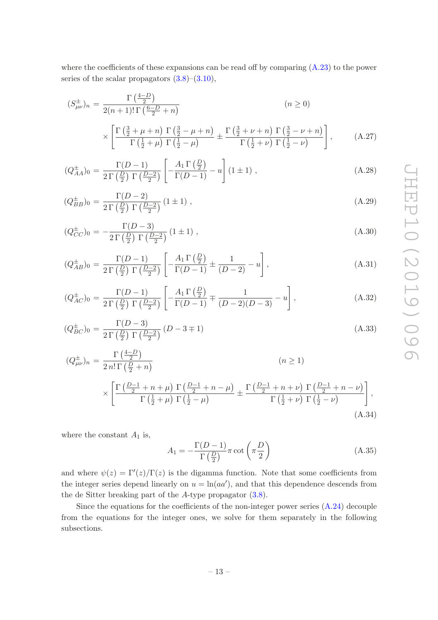where the coefficients of these expansions can be read off by comparing [\(A.23\)](#page-12-1) to the power series of the scalar propagators  $(3.8)$ – $(3.10)$ ,

<span id="page-13-0"></span>
$$
(S_{\mu\nu}^{\pm})_n = \frac{\Gamma\left(\frac{4-D}{2}\right)}{2(n+1)!\,\Gamma\left(\frac{6-D}{2}+n\right)} \qquad (n \ge 0)
$$

$$
\times \left[ \frac{\Gamma\left(\frac{3}{2}+\mu+n\right)\,\Gamma\left(\frac{3}{2}-\mu+n\right)}{\Gamma\left(\frac{1}{2}+\mu\right)\,\Gamma\left(\frac{1}{2}-\mu\right)} \pm \frac{\Gamma\left(\frac{3}{2}+\nu+n\right)\,\Gamma\left(\frac{3}{2}-\nu+n\right)}{\Gamma\left(\frac{1}{2}+\nu\right)\,\Gamma\left(\frac{1}{2}-\nu\right)} \right], \qquad (A.27)
$$

$$
(Q_{AA}^{\pm})_0 = \frac{\Gamma(D-1)}{2\Gamma(\frac{D}{2})\Gamma(\frac{D-2}{2})} \left[ -\frac{A_1\Gamma(\frac{D}{2})}{\Gamma(D-1)} - u \right] (1 \pm 1) , \qquad (A.28)
$$

$$
(Q_{BB}^{\pm})_0 = \frac{\Gamma(D-2)}{2\Gamma(\frac{D}{2})\Gamma(\frac{D-2}{2})} (1 \pm 1) , \qquad (A.29)
$$

$$
(Q_{CC}^{\pm})_0 = -\frac{\Gamma(D-3)}{2\Gamma\left(\frac{D}{2}\right)\Gamma\left(\frac{D-2}{2}\right)} \left(1 \pm 1\right),\tag{A.30}
$$

$$
(Q_{AB}^{\pm})_0 = \frac{\Gamma(D-1)}{2\Gamma(\frac{D}{2})\Gamma(\frac{D-2}{2})} \left[ -\frac{A_1\Gamma(\frac{D}{2})}{\Gamma(D-1)} \pm \frac{1}{(D-2)} - u \right],
$$
\n(A.31)

$$
(Q_{AC}^{\pm})_0 = \frac{\Gamma(D-1)}{2\Gamma\left(\frac{D}{2}\right)\Gamma\left(\frac{D-2}{2}\right)} \left[ -\frac{A_1\Gamma\left(\frac{D}{2}\right)}{\Gamma(D-1)} \mp \frac{1}{(D-2)(D-3)} - u \right],\tag{A.32}
$$

$$
(Q_{BC}^{\pm})_0 = \frac{\Gamma(D-3)}{2\Gamma(\frac{D}{2})\Gamma(\frac{D-2}{2})} (D-3\mp 1)
$$
\n(A.33)

$$
(Q^{\pm}_{\mu\nu})_n = \frac{\Gamma\left(\frac{4-D}{2}\right)}{2n!\,\Gamma\left(\frac{D}{2}+n\right)} \qquad (n \ge 1)
$$
  
\$\times \left[\frac{\Gamma\left(\frac{D-1}{2}+n+\mu\right)\Gamma\left(\frac{D-1}{2}+n-\mu\right)}{\Gamma\left(\frac{1}{2}+\mu\right)\Gamma\left(\frac{1}{2}-\mu\right)} \pm \frac{\Gamma\left(\frac{D-1}{2}+n+\nu\right)\Gamma\left(\frac{D-1}{2}+n-\nu\right)}{\Gamma\left(\frac{1}{2}+\nu\right)\Gamma\left(\frac{1}{2}-\nu\right)}\right], (A.34)

where the constant  $A_1$  is,

$$
A_1 = -\frac{\Gamma(D-1)}{\Gamma(\frac{D}{2})}\pi \cot\left(\pi \frac{D}{2}\right) \tag{A.35}
$$

and where  $\psi(z) = \Gamma'(z)/\Gamma(z)$  is the digamma function. Note that some coefficients from the integer series depend linearly on  $u = \ln(aa')$ , and that this dependence descends from the de Sitter breaking part of the A-type propagator [\(3.8\)](#page-5-2).

Since the equations for the coefficients of the non-integer power series  $(A.24)$  decouple from the equations for the integer ones, we solve for them separately in the following subsections.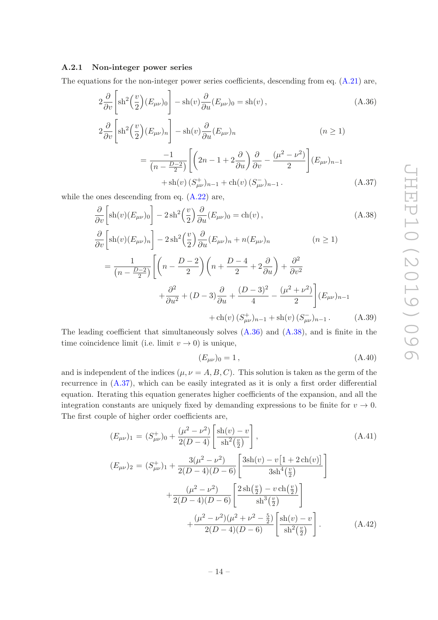## <span id="page-14-0"></span>A.2.1 Non-integer power series

The equations for the non-integer power series coefficients, descending from eq. [\(A.21\)](#page-12-0) are,

<span id="page-14-1"></span>
$$
2\frac{\partial}{\partial v}\left[\sh^2\left(\frac{v}{2}\right)(E_{\mu\nu})_0\right] - \sh(v)\frac{\partial}{\partial u}(E_{\mu\nu})_0 = \sh(v)\,,\tag{A.36}
$$

$$
2\frac{\partial}{\partial v}\left[\text{sh}^2\left(\frac{v}{2}\right)(E_{\mu\nu})_n\right] - \text{sh}(v)\frac{\partial}{\partial u}(E_{\mu\nu})_n\qquad (n \ge 1)
$$

$$
= \frac{-1}{(n - \frac{D-2}{2})}\left[\left(2n - 1 + 2\frac{\partial}{\partial u}\right)\frac{\partial}{\partial v} - \frac{(\mu^2 - \nu^2)}{2}\right](E_{\mu\nu})_{n-1}
$$

$$
+\operatorname{sh}(v) (S_{\mu\nu}^+ )_{n-1} + \operatorname{ch}(v) (S_{\mu\nu}^- )_{n-1}.
$$
 (A.37)

while the ones descending from eq. [\(A.22\)](#page-12-0) are,

<span id="page-14-2"></span>
$$
\frac{\partial}{\partial v} \left[ \text{sh}(v) (E_{\mu\nu})_0 \right] - 2 \, \text{sh}^2 \left( \frac{v}{2} \right) \frac{\partial}{\partial u} (E_{\mu\nu})_0 = \text{ch}(v) \,, \tag{A.38}
$$

$$
\frac{\partial}{\partial v} \left[ sh(v)(E_{\mu\nu})_n \right] - 2sh^2 \left( \frac{v}{2} \right) \frac{\partial}{\partial u} (E_{\mu\nu})_n + n(E_{\mu\nu})_n \qquad (n \ge 1)
$$

$$
= \frac{1}{(n - \frac{D-2}{2})} \left[ \left( n - \frac{D-2}{2} \right) \left( n + \frac{D-4}{2} + 2 \frac{\partial}{\partial u} \right) + \frac{\partial^2}{\partial v^2} + \frac{\partial^2}{\partial u^2} + (D-3) \frac{\partial}{\partial u} + \frac{(D-3)^2}{4} - \frac{(\mu^2 + \nu^2)}{2} \right] (E_{\mu\nu})_{n-1}
$$

$$
+ ch(v) (S_{\mu\nu}^+)_{n-1} + sh(v) (S_{\mu\nu}^-)_{n-1} . \qquad (A.39)
$$

The leading coefficient that simultaneously solves  $(A.36)$  and  $(A.38)$ , and is finite in the time coincidence limit (i.e. limit  $v \to 0$ ) is unique,

<span id="page-14-3"></span>
$$
(E_{\mu\nu})_0 = 1\,,\tag{A.40}
$$

and is independent of the indices  $(\mu, \nu = A, B, C)$ . This solution is taken as the germ of the recurrence in [\(A.37\)](#page-14-1), which can be easily integrated as it is only a first order differential equation. Iterating this equation generates higher coefficients of the expansion, and all the integration constants are uniquely fixed by demanding expressions to be finite for  $v \to 0$ . The first couple of higher order coefficients are,

<span id="page-14-4"></span>
$$
(E_{\mu\nu})_1 = (S_{\mu\nu}^+)_{0} + \frac{(\mu^2 - \nu^2)}{2(D - 4)} \left[ \frac{\text{sh}(v) - v}{\text{sh}^2(\frac{v}{2})} \right],
$$
\n
$$
(A.41)
$$
\n
$$
(E_{\mu\nu})_2 = (S_{\mu\nu}^+)_{1} + \frac{3(\mu^2 - \nu^2)}{2(D - 4)(D - 6)} \left[ \frac{3\text{sh}(v) - v[1 + 2\text{ch}(v)]}{3\text{sh}^4(\frac{v}{2})} \right]
$$
\n
$$
+ \frac{(\mu^2 - \nu^2)}{2(D - 4)(D - 6)} \left[ \frac{2\text{sh}(\frac{v}{2}) - v\text{ch}(\frac{v}{2})}{\text{sh}^3(\frac{v}{2})} \right]
$$
\n
$$
+ \frac{(\mu^2 - \nu^2)(\mu^2 + \nu^2 - \frac{5}{2})}{2(D - 4)(D - 6)} \left[ \frac{\text{sh}(v) - v}{\text{sh}^2(\frac{v}{2})} \right].
$$
\n(A.42)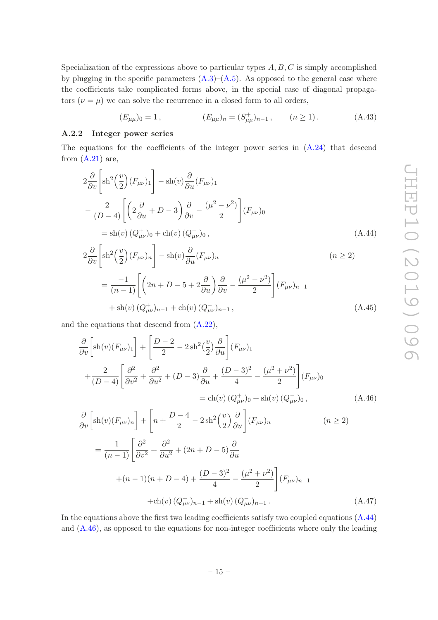Specialization of the expressions above to particular types  $A, B, C$  is simply accomplished by plugging in the specific parameters  $(A.3)$ – $(A.5)$ . As opposed to the general case where the coefficients take complicated forms above, in the special case of diagonal propagators  $(\nu = \mu)$  we can solve the recurrence in a closed form to all orders,

<span id="page-15-1"></span>
$$
(E_{\mu\mu})_0 = 1, \qquad (E_{\mu\mu})_n = (S^+_{\mu\mu})_{n-1}, \qquad (n \ge 1). \tag{A.43}
$$

## <span id="page-15-0"></span>A.2.2 Integer power series

The equations for the coefficients of the integer power series in [\(A.24\)](#page-12-2) that descend from  $(A.21)$  are,

$$
2\frac{\partial}{\partial v}\left[\text{sh}^{2}\left(\frac{v}{2}\right)(F_{\mu\nu})_{1}\right] - \text{sh}(v)\frac{\partial}{\partial u}(F_{\mu\nu})_{1}
$$

$$
-\frac{2}{(D-4)}\left[\left(2\frac{\partial}{\partial u} + D - 3\right)\frac{\partial}{\partial v} - \frac{(\mu^{2} - \nu^{2})}{2}\right](F_{\mu\nu})_{0}
$$

$$
= \text{sh}(v)(Q_{\mu\nu}^{+})_{0} + \text{ch}(v)(Q_{\mu\nu}^{-})_{0}, \qquad (A.44)
$$

<span id="page-15-3"></span>
$$
2\frac{\partial}{\partial v}\left[\operatorname{sh}^{2}\left(\frac{v}{2}\right)(F_{\mu\nu})_{n}\right] - \operatorname{sh}(v)\frac{\partial}{\partial u}(F_{\mu\nu})_{n}
$$
\n
$$
= \frac{-1}{(n-1)}\left[\left(2n+D-5+2\frac{\partial}{\partial u}\right)\frac{\partial}{\partial v} - \frac{(\mu^{2}-\nu^{2})}{2}\right](F_{\mu\nu})_{n-1}
$$
\n
$$
+ \operatorname{sh}(v)(Q_{\mu\nu}^{+})_{n-1} + \operatorname{ch}(v)(Q_{\mu\nu}^{-})_{n-1},
$$
\n(A.45)

and the equations that descend from [\(A.22\)](#page-12-0),

<span id="page-15-2"></span>
$$
\frac{\partial}{\partial v} \left[ sh(v)(F_{\mu\nu})_1 \right] + \left[ \frac{D-2}{2} - 2sh^2(\frac{v}{2}) \frac{\partial}{\partial u} \right] (F_{\mu\nu})_1
$$
\n
$$
+ \frac{2}{(D-4)} \left[ \frac{\partial^2}{\partial v^2} + \frac{\partial^2}{\partial u^2} + (D-3) \frac{\partial}{\partial u} + \frac{(D-3)^2}{4} - \frac{(\mu^2 + \nu^2)}{2} \right] (F_{\mu\nu})_0
$$
\n
$$
= ch(v) (Q^+_{\mu\nu})_0 + sh(v) (Q^-_{\mu\nu})_0,
$$
\n
$$
\frac{\partial}{\partial v} \left[ sh(v)(F_{\mu\nu})_n \right] + \left[ n + \frac{D-4}{2} - 2sh^2(\frac{v}{2}) \frac{\partial}{\partial u} \right] (F_{\mu\nu})_n \qquad (n \ge 2)
$$
\n
$$
= \frac{1}{(n-1)} \left[ \frac{\partial^2}{\partial v^2} + \frac{\partial^2}{\partial u^2} + (2n + D - 5) \frac{\partial}{\partial u}
$$
\n
$$
+ (n-1)(n + D - 4) + \frac{(D-3)^2}{4} - \frac{(\mu^2 + \nu^2)}{2} \right] (F_{\mu\nu})_{n-1}
$$
\n
$$
+ ch(v) (Q^+_{\mu\nu})_{n-1} + sh(v) (Q^-_{\mu\nu})_{n-1}.
$$
\n(A.47)

In the equations above the first two leading coefficients satisfy two coupled equations [\(A.44\)](#page-15-1) and [\(A.46\)](#page-15-2), as opposed to the equations for non-integer coefficients where only the leading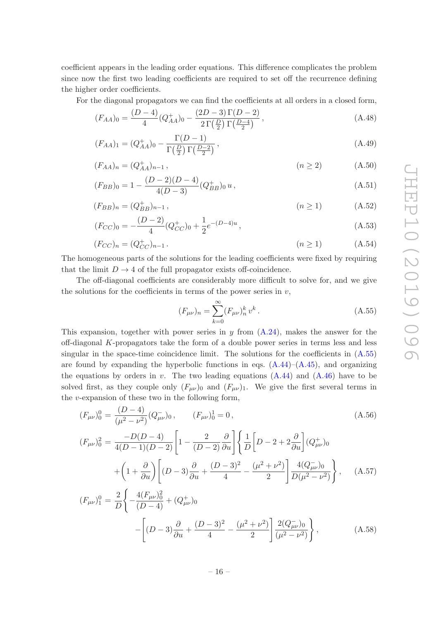coefficient appears in the leading order equations. This difference complicates the problem since now the first two leading coefficients are required to set off the recurrence defining the higher order coefficients.

For the diagonal propagators we can find the coefficients at all orders in a closed form,

$$
(F_{AA})_0 = \frac{(D-4)}{4} (Q_{AA}^+)_0 - \frac{(2D-3)\Gamma(D-2)}{2\Gamma(\frac{D}{2})\Gamma(\frac{D-4}{2})},
$$
\n(A.48)

$$
(F_{AA})_1 = (Q_{AA}^+)_0 - \frac{\Gamma(D-1)}{\Gamma(\frac{D}{2})\Gamma(\frac{D-2}{2})},
$$
\n(A.49)

$$
(F_{AA})_n = (Q_{AA}^+)_n - 1, \qquad (n \ge 2)
$$
 (A.50)

$$
(F_{BB})_0 = 1 - \frac{(D-2)(D-4)}{4(D-3)} (Q_{BB}^+)_0 u, \qquad (A.51)
$$

$$
(F_{BB})_n = (Q_{BB}^+)_{n-1}, \qquad (n \ge 1) \qquad (A.52)
$$

$$
(F_{CC})_0 = -\frac{(D-2)}{4}(Q_{CC}^+)_0 + \frac{1}{2}e^{-(D-4)u},\tag{A.53}
$$

$$
(F_{CC})_n = (Q_{CC}^+)_n - 1.
$$
\n(A.54)

The homogeneous parts of the solutions for the leading coefficients were fixed by requiring that the limit  $D \to 4$  of the full propagator exists off-coincidence.

The off-diagonal coefficients are considerably more difficult to solve for, and we give the solutions for the coefficients in terms of the power series in  $v$ ,

<span id="page-16-0"></span>
$$
(F_{\mu\nu})_n = \sum_{k=0}^{\infty} (F_{\mu\nu})_n^k v^k.
$$
\n(A.55)

This expansion, together with power series in  $y$  from  $(A.24)$ , makes the answer for the off-diagonal K-propagators take the form of a double power series in terms less and less singular in the space-time coincidence limit. The solutions for the coefficients in [\(A.55\)](#page-16-0) are found by expanding the hyperbolic functions in eqs.  $(A.44)$ – $(A.45)$ , and organizing the equations by orders in  $v$ . The two leading equations  $(A.44)$  and  $(A.46)$  have to be solved first, as they couple only  $(F_{\mu\nu})_0$  and  $(F_{\mu\nu})_1$ . We give the first several terms in the  $v$ -expansion of these two in the following form,

<span id="page-16-1"></span>
$$
(F_{\mu\nu})_0^0 = \frac{(D-4)}{(\mu^2 - \nu^2)} (Q_{\mu\nu}^-)_0, \qquad (F_{\mu\nu})_0^1 = 0,
$$
\n
$$
(A.56)
$$
\n
$$
(F_{\mu\nu})_0^2 = \frac{-D(D-4)}{4(D-1)(D-2)} \left[ 1 - \frac{2}{(D-2)} \frac{\partial}{\partial u} \right] \left\{ \frac{1}{D} \left[ D - 2 + 2 \frac{\partial}{\partial u} \right] (Q_{\mu\nu}^+)_{0} \right.
$$
\n
$$
+ \left( 1 + \frac{\partial}{\partial u} \right) \left[ (D-3) \frac{\partial}{\partial u} + \frac{(D-3)^2}{4} - \frac{(\mu^2 + \nu^2)}{2} \right] \frac{4(Q_{\mu\nu}^-)_0}{D(\mu^2 - \nu^2)} \right\}, \qquad (A.57)
$$

$$
(F_{\mu\nu})_1^0 = \frac{2}{D} \left\{ -\frac{4(F_{\mu\nu})_0^2}{(D-4)} + (Q_{\mu\nu}^+)_{0} \right. - \left[ (D-3)\frac{\partial}{\partial u} + \frac{(D-3)^2}{4} - \frac{(\mu^2 + \nu^2)}{2} \right] \frac{2(Q_{\mu\nu}^-)_0}{(\mu^2 - \nu^2)} \right\},
$$
(A.58)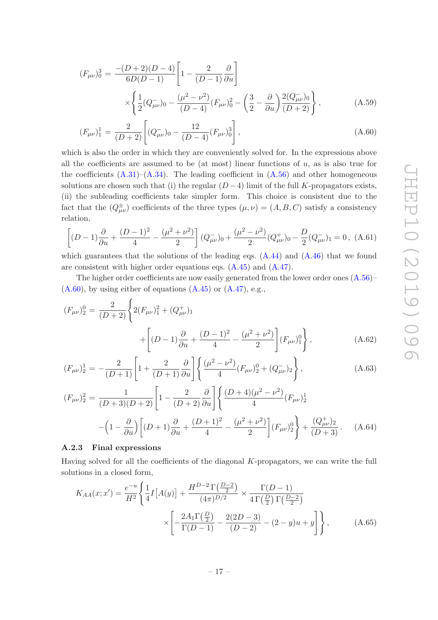$$
(F_{\mu\nu})_0^3 = \frac{-(D+2)(D-4)}{6D(D-1)} \left[ 1 - \frac{2}{(D-1)} \frac{\partial}{\partial u} \right]
$$

$$
\times \left\{ \frac{1}{2} (Q_{\mu\nu}^-)_0 - \frac{(\mu^2 - \nu^2)}{(D-4)} (F_{\mu\nu})_0^2 - \left( \frac{3}{2} - \frac{\partial}{\partial u} \right) \frac{2(Q_{\mu\nu}^-)_0}{(D+2)} \right\},
$$
(A.59)

$$
(F_{\mu\nu})_1^1 = \frac{2}{(D+2)} \left[ (Q_{\mu\nu}^-)_0 - \frac{12}{(D-4)} (F_{\mu\nu})_0^3 \right],
$$
\n(A.60)

which is also the order in which they are conveniently solved for. In the expressions above all the coefficients are assumed to be (at most) linear functions of  $u$ , as is also true for the coefficients  $(A.31)$ – $(A.34)$ . The leading coefficient in  $(A.56)$  and other homogeneous solutions are chosen such that (i) the regular  $(D-4)$  limit of the full K-propagators exists, (ii) the subleading coefficients take simpler form. This choice is consistent due to the fact that the  $(Q^{\pm}_{\mu\nu})$  coefficients of the three types  $(\mu, \nu) = (A, B, C)$  satisfy a consistency relation,

$$
\left[ (D-1)\frac{\partial}{\partial u} + \frac{(D-1)^2}{4} - \frac{(\mu^2 + \nu^2)}{2} \right] (Q_{\mu\nu}^-)_0 + \frac{(\mu^2 - \nu^2)}{2} (Q_{\mu\nu}^+)_0 - \frac{D}{2} (Q_{\mu\nu}^-)_1 = 0, \ (A.61)
$$

which guarantees that the solutions of the leading eqs.  $(A.44)$  and  $(A.46)$  that we found are consistent with higher order equations eqs. [\(A.45\)](#page-15-3) and [\(A.47\)](#page-15-2).

The higher order coefficients are now easily generated from the lower order ones [\(A.56\)](#page-16-1)–  $(A.60)$ , by using either of equations  $(A.45)$  or  $(A.47)$ , e.g.,

$$
(F_{\mu\nu})_2^0 = \frac{2}{(D+2)} \left\{ 2(F_{\mu\nu})_1^2 + (Q_{\mu\nu}^+)_{1} \right\} + \left[ (D-1)\frac{\partial}{\partial u} + \frac{(D-1)^2}{4} - \frac{(\mu^2 + \nu^2)}{2} \right] (F_{\mu\nu})_1^0 \right\},
$$
(A.62)

$$
(F_{\mu\nu})_2^1 = -\frac{2}{(D+1)} \left[ 1 + \frac{2}{(D+1)} \frac{\partial}{\partial u} \right] \left\{ \frac{(\mu^2 - \nu^2)}{4} (F_{\mu\nu})_2^0 + (Q_{\mu\nu}^-)_2 \right\},\tag{A.63}
$$

$$
(F_{\mu\nu})_2^2 = \frac{1}{(D+3)(D+2)} \left[ 1 - \frac{2}{(D+2)} \frac{\partial}{\partial u} \right] \left\{ \frac{(D+4)(\mu^2 - \nu^2)}{4} (F_{\mu\nu})_2^1 - \left( 1 - \frac{\partial}{\partial u} \right) \left[ (D+1) \frac{\partial}{\partial u} + \frac{(D+1)^2}{4} - \frac{(\mu^2 + \nu^2)}{2} \right] (F_{\mu\nu})_2^0 \right\} + \frac{(Q_{\mu\nu}^+)_2}{(D+3)}.
$$
 (A.64)

## <span id="page-17-0"></span>A.2.3 Final expressions

Having solved for all the coefficients of the diagonal  $K$ -propagators, we can write the full solutions in a closed form,

$$
K_{AA}(x;x') = \frac{e^{-u}}{H^2} \left\{ \frac{1}{4} I \left[ A(y) \right] + \frac{H^{D-2} \Gamma(\frac{D-2}{2})}{(4\pi)^{D/2}} \times \frac{\Gamma(D-1)}{4\Gamma(\frac{D}{2}) \Gamma(\frac{D-2}{2})} \right\}
$$

$$
\times \left[ -\frac{2A_1 \Gamma(\frac{D}{2})}{\Gamma(D-1)} - \frac{2(2D-3)}{(D-2)} - (2-y)u + y \right] \right\}, \tag{A.65}
$$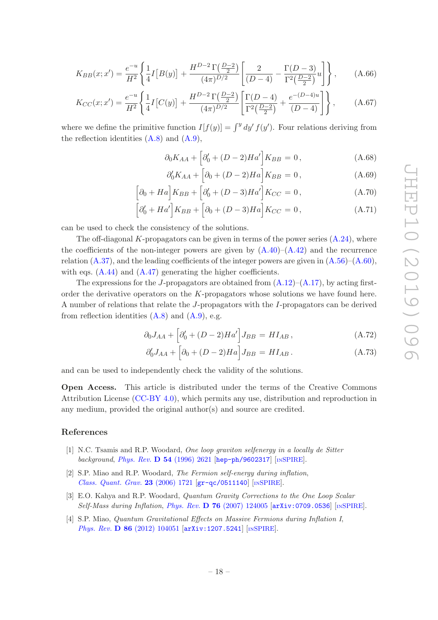$$
K_{BB}(x;x') = \frac{e^{-u}}{H^2} \left\{ \frac{1}{4} I\left[B(y)\right] + \frac{H^{D-2} \Gamma\left(\frac{D-2}{2}\right)}{(4\pi)^{D/2}} \left[\frac{2}{(D-4)} - \frac{\Gamma(D-3)}{\Gamma^2\left(\frac{D-2}{2}\right)} u\right] \right\},\tag{A.66}
$$

$$
K_{CC}(x;x') = \frac{e^{-u}}{H^2} \left\{ \frac{1}{4} I \left[ C(y) \right] + \frac{H^{D-2} \Gamma(\frac{D-2}{2})}{(4\pi)^{D/2}} \left[ \frac{\Gamma(D-4)}{\Gamma^2(\frac{D-2}{2})} + \frac{e^{-(D-4)u}}{(D-4)} \right] \right\}, \tag{A.67}
$$

where we define the primitive function  $I[f(y)] = \int^y dy' f(y')$ . Four relations deriving from the reflection identities  $(A.8)$  and  $(A.9)$ ,

$$
\partial_0 K_{AA} + \left[ \partial_0' + (D - 2)Ha' \right] K_{BB} = 0, \qquad (A.68)
$$

$$
\partial_0' K_{AA} + \left[ \partial_0 + (D - 2) H a \right] K_{BB} = 0, \tag{A.69}
$$

$$
\left[\partial_0 + Ha\right] K_{BB} + \left[\partial_0' + (D-3)Ha'\right] K_{CC} = 0, \tag{A.70}
$$

$$
\left[\partial_0' + Ha'\right]K_{BB} + \left[\partial_0 + (D-3)Ha\right]K_{CC} = 0, \tag{A.71}
$$

can be used to check the consistency of the solutions.

The off-diagonal K-propagators can be given in terms of the power series  $(A.24)$ , where the coefficients of the non-integer powers are given by  $(A.40)$ – $(A.42)$  and the recurrence relation  $(A.37)$ , and the leading coefficients of the integer powers are given in  $(A.56)$ – $(A.60)$ , with eqs.  $(A.44)$  and  $(A.47)$  generating the higher coefficients.

The expressions for the J-propagators are obtained from  $(A.12)$ – $(A.17)$ , by acting firstorder the derivative operators on the K-propagators whose solutions we have found here. A number of relations that relate the J-propagators with the I-propagators can be derived from reflection identities  $(A.8)$  and  $(A.9)$ , e.g.

$$
\partial_0 J_{AA} + \left[ \partial_0' + (D - 2)Ha' \right] J_{BB} = H I_{AB}, \qquad (A.72)
$$

$$
\partial_0' J_{AA} + \left[ \partial_0 + (D - 2) Ha \right] J_{BB} = H I_{AB} \,. \tag{A.73}
$$

and can be used to independently check the validity of the solutions.

Open Access. This article is distributed under the terms of the Creative Commons Attribution License [\(CC-BY 4.0\)](https://creativecommons.org/licenses/by/4.0/), which permits any use, distribution and reproduction in any medium, provided the original author(s) and source are credited.

# References

- <span id="page-18-0"></span>[1] N.C. Tsamis and R.P. Woodard, One loop graviton selfenergy in a locally de Sitter background, Phys. Rev.  $D$  54 [\(1996\) 2621](https://doi.org/10.1103/PhysRevD.54.2621) [[hep-ph/9602317](https://arxiv.org/abs/hep-ph/9602317)] [IN[SPIRE](https://inspirehep.net/search?p=find+EPRINT+hep-ph/9602317)].
- [2] S.P. Miao and R.P. Woodard, The Fermion self-energy during inflation, [Class. Quant. Grav.](https://doi.org/10.1088/0264-9381/23/5/016) 23 (2006) 1721 [[gr-qc/0511140](https://arxiv.org/abs/gr-qc/0511140)] [IN[SPIRE](https://inspirehep.net/search?p=find+EPRINT+gr-qc/0511140)].
- <span id="page-18-1"></span>[3] E.O. Kahya and R.P. Woodard, *Quantum Gravity Corrections to the One Loop Scalar* Self-Mass during Inflation, Phys. Rev. D 76 [\(2007\) 124005](https://doi.org/10.1103/PhysRevD.76.124005) [[arXiv:0709.0536](https://arxiv.org/abs/0709.0536)] [IN[SPIRE](https://inspirehep.net/search?p=find+EPRINT+arXiv:0709.0536)].
- [4] S.P. Miao, Quantum Gravitational Effects on Massive Fermions during Inflation I, Phys. Rev. D 86 [\(2012\) 104051](https://doi.org/10.1103/PhysRevD.86.104051) [[arXiv:1207.5241](https://arxiv.org/abs/1207.5241)] [IN[SPIRE](https://inspirehep.net/search?p=find+EPRINT+arXiv:1207.5241)].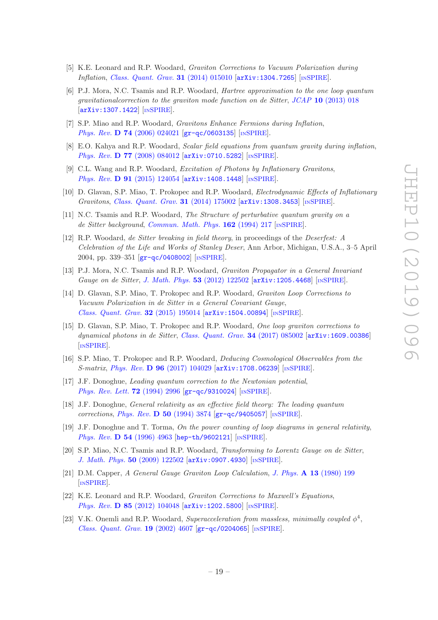- <span id="page-19-0"></span>[5] K.E. Leonard and R.P. Woodard, Graviton Corrections to Vacuum Polarization during Inflation, [Class. Quant. Grav.](https://doi.org/10.1088/0264-9381/31/1/015010) **31** (2014) 015010 [[arXiv:1304.7265](https://arxiv.org/abs/1304.7265)] [IN[SPIRE](https://inspirehep.net/search?p=find+EPRINT+arXiv:1304.7265)].
- <span id="page-19-1"></span>[6] P.J. Mora, N.C. Tsamis and R.P. Woodard, Hartree approximation to the one loop quantum gravitationalcorrection to the graviton mode function on de Sitter, JCAP 10 [\(2013\) 018](https://doi.org/10.1088/1475-7516/2013/10/018) [[arXiv:1307.1422](https://arxiv.org/abs/1307.1422)] [IN[SPIRE](https://inspirehep.net/search?p=find+EPRINT+arXiv:1307.1422)].
- [7] S.P. Miao and R.P. Woodard, Gravitons Enhance Fermions during Inflation, Phys. Rev. **D 74** [\(2006\) 024021](https://doi.org/10.1103/PhysRevD.74.024021) [[gr-qc/0603135](https://arxiv.org/abs/gr-qc/0603135)] [IN[SPIRE](https://inspirehep.net/search?p=find+EPRINT+gr-qc/0603135)].
- [8] E.O. Kahya and R.P. Woodard, Scalar field equations from quantum gravity during inflation, Phys. Rev. D 77 [\(2008\) 084012](https://doi.org/10.1103/PhysRevD.77.084012) [[arXiv:0710.5282](https://arxiv.org/abs/0710.5282)] [IN[SPIRE](https://inspirehep.net/search?p=find+EPRINT+arXiv:0710.5282)].
- <span id="page-19-2"></span>[9] C.L. Wang and R.P. Woodard, Excitation of Photons by Inflationary Gravitons, Phys. Rev. **D 91** [\(2015\) 124054](https://doi.org/10.1103/PhysRevD.91.124054) [[arXiv:1408.1448](https://arxiv.org/abs/1408.1448)] [IN[SPIRE](https://inspirehep.net/search?p=find+EPRINT+arXiv:1408.1448)].
- <span id="page-19-3"></span>[10] D. Glavan, S.P. Miao, T. Prokopec and R.P. Woodard, Electrodynamic Effects of Inflationary Gravitons, [Class. Quant. Grav.](https://doi.org/10.1088/0264-9381/31/17/175002) 31 (2014) 175002 [[arXiv:1308.3453](https://arxiv.org/abs/1308.3453)] [IN[SPIRE](https://inspirehep.net/search?p=find+EPRINT+arXiv:1308.3453)].
- <span id="page-19-4"></span>[11] N.C. Tsamis and R.P. Woodard, The Structure of perturbative quantum gravity on a de Sitter background, [Commun. Math. Phys.](https://doi.org/10.1007/BF02102015) **162** (1994) 217 [IN[SPIRE](https://inspirehep.net/search?p=find+J+%22Comm.Math.Phys.,162,217%22)].
- <span id="page-19-5"></span>[12] R.P. Woodard, de Sitter breaking in field theory, in proceedings of the Deserfest: A Celebration of the Life and Works of Stanley Deser, Ann Arbor, Michigan, U.S.A., 3–5 April 2004, pp. 339–351 [[gr-qc/0408002](https://arxiv.org/abs/gr-qc/0408002)] [IN[SPIRE](https://inspirehep.net/search?p=find+EPRINT+gr-qc/0408002)].
- <span id="page-19-6"></span>[13] P.J. Mora, N.C. Tsamis and R.P. Woodard, Graviton Propagator in a General Invariant Gauge on de Sitter, [J. Math. Phys.](https://doi.org/10.1063/1.4764882) **53** (2012) 122502 [[arXiv:1205.4468](https://arxiv.org/abs/1205.4468)] [IN[SPIRE](https://inspirehep.net/search?p=find+EPRINT+arXiv:1205.4468)].
- <span id="page-19-7"></span>[14] D. Glavan, S.P. Miao, T. Prokopec and R.P. Woodard, Graviton Loop Corrections to Vacuum Polarization in de Sitter in a General Covariant Gauge, [Class. Quant. Grav.](https://doi.org/10.1088/0264-9381/32/19/195014) 32 (2015) 195014 [[arXiv:1504.00894](https://arxiv.org/abs/1504.00894)] [IN[SPIRE](https://inspirehep.net/search?p=find+EPRINT+arXiv:1504.00894)].
- <span id="page-19-8"></span>[15] D. Glavan, S.P. Miao, T. Prokopec and R.P. Woodard, One loop graviton corrections to dynamical photons in de Sitter, [Class. Quant. Grav.](https://doi.org/10.1088/1361-6382/aa61da) **34** (2017) 085002 [[arXiv:1609.00386](https://arxiv.org/abs/1609.00386)] [IN[SPIRE](https://inspirehep.net/search?p=find+EPRINT+arXiv:1609.00386)].
- <span id="page-19-9"></span>[16] S.P. Miao, T. Prokopec and R.P. Woodard, Deducing Cosmological Observables from the S-matrix, Phys. Rev. D 96 [\(2017\) 104029](https://doi.org/10.1103/PhysRevD.96.104029) [[arXiv:1708.06239](https://arxiv.org/abs/1708.06239)] [IN[SPIRE](https://inspirehep.net/search?p=find+EPRINT+arXiv:1708.06239)].
- <span id="page-19-10"></span>[17] J.F. Donoghue, Leading quantum correction to the Newtonian potential, [Phys. Rev. Lett.](https://doi.org/10.1103/PhysRevLett.72.2996) **72** (1994) 2996 [[gr-qc/9310024](https://arxiv.org/abs/gr-qc/9310024)] [IN[SPIRE](https://inspirehep.net/search?p=find+EPRINT+gr-qc/9310024)].
- [18] J.F. Donoghue, General relativity as an effective field theory: The leading quantum corrections, Phys. Rev. D 50 [\(1994\) 3874](https://doi.org/10.1103/PhysRevD.50.3874) [[gr-qc/9405057](https://arxiv.org/abs/gr-qc/9405057)] [IN[SPIRE](https://inspirehep.net/search?p=find+EPRINT+gr-qc/9405057)].
- <span id="page-19-11"></span>[19] J.F. Donoghue and T. Torma, On the power counting of loop diagrams in general relativity, Phys. Rev. **D 54** [\(1996\) 4963](https://doi.org/10.1103/PhysRevD.54.4963) [[hep-th/9602121](https://arxiv.org/abs/hep-th/9602121)] [IN[SPIRE](https://inspirehep.net/search?p=find+EPRINT+hep-th/9602121)].
- <span id="page-19-12"></span>[20] S.P. Miao, N.C. Tsamis and R.P. Woodard, Transforming to Lorentz Gauge on de Sitter, [J. Math. Phys.](https://doi.org/10.1063/1.3266179) 50 (2009) 122502 [[arXiv:0907.4930](https://arxiv.org/abs/0907.4930)] [IN[SPIRE](https://inspirehep.net/search?p=find+EPRINT+arXiv:0907.4930)].
- <span id="page-19-13"></span>[21] D.M. Capper, A General Gauge Graviton Loop Calculation, J. Phys. A 13 [\(1980\) 199](https://doi.org/10.1088/0305-4470/13/1/022) [IN[SPIRE](https://inspirehep.net/search?p=find+J+%22J.Phys.,A13,199%22)].
- <span id="page-19-14"></span>[22] K.E. Leonard and R.P. Woodard, Graviton Corrections to Maxwell's Equations, Phys. Rev. D 85 [\(2012\) 104048](https://doi.org/10.1103/PhysRevD.85.104048) [[arXiv:1202.5800](https://arxiv.org/abs/1202.5800)] [IN[SPIRE](https://inspirehep.net/search?p=find+EPRINT+arXiv:1202.5800)].
- <span id="page-19-15"></span>[23] V.K. Onemli and R.P. Woodard, Superacceleration from massless, minimally coupled  $\phi^4$ , [Class. Quant. Grav.](https://doi.org/10.1088/0264-9381/19/17/311) 19 (2002) 4607  $|gr-qc/0204065|$  $|gr-qc/0204065|$  $|gr-qc/0204065|$  [IN[SPIRE](https://inspirehep.net/search?p=find+EPRINT+gr-qc/0204065)].